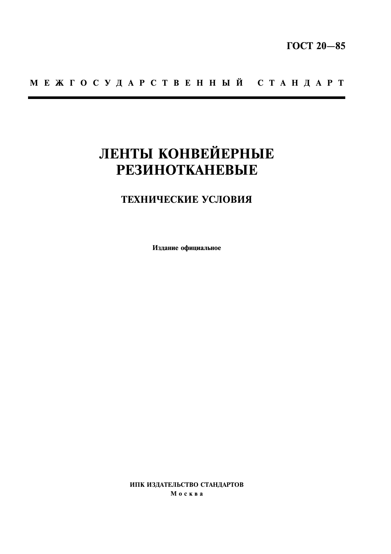# МЕЖГОСУДАРСТВЕННЫЙ СТАНДАРТ

# ЛЕНТЫ КОНВЕЙЕРНЫЕ **РЕЗИНОТКАНЕВЫЕ**

# ТЕХНИЧЕСКИЕ УСЛОВИЯ

Издание официальное

ИПК ИЗДАТЕЛЬСТВО СТАНДАРТОВ Москва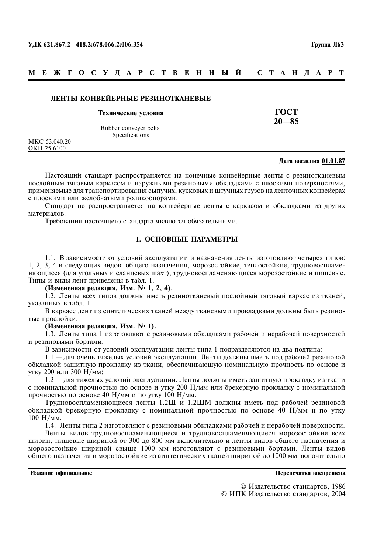#### МЕЖГОСУДАРСТВЕННЫЙ C T A H I A P T

# ЛЕНТЫ КОНВЕЙЕРНЫЕ РЕЗИНОТКАНЕВЫЕ

#### Технические условия

Rubber conveyer belts. **Specifications** 

MKC 53.040.20 OKΠ 25 6100

#### Лата ввеления 01.01.87

**TOCT** 

 $20 - 85$ 

Настоящий стандарт распространяется на конечные конвейерные ленты с резинотканевым послойным тяговым каркасом и наружными резиновыми обкладками с плоскими поверхностями, применяемые для транспортирования сыпучих, кусковых и штучных грузов на ленточных конвейерах с плоскими или желобчатыми роликоопорами.

Стандарт не распространяется на конвейерные ленты с каркасом и обкладками из других материалов.

Требования настоящего стандарта являются обязательными.

# 1. ОСНОВНЫЕ ПАРАМЕТРЫ

1.1. В зависимости от условий эксплуатации и назначения ленты изготовляют четырех типов: 1, 2, 3, 4 и следующих видов: общего назначения, морозостойкие, теплостойкие, трудновоспламеняющиеся (для угольных и сланцевых шахт), трудновоспламеняющиеся морозостойкие и пищевые. Типы и виды лент приведены в табл. 1.

(Измененная редакция, Изм. № 1, 2, 4).

1.2. Ленты всех типов должны иметь резинотканевый послойный тяговый каркас из тканей, указанных в табл. 1.

В каркасе лент из синтетических тканей между тканевыми прокладками должны быть резиновые прослойки.

#### (Измененная редакция, Изм. № 1).

1.3. Ленты типа 1 изготовляют с резиновыми обкладками рабочей и нерабочей поверхностей и резиновыми бортами.

В зависимости от условий эксплуатации ленты типа 1 подразделяются на два подтипа:

1.1 - для очень тяжелых условий эксплуатации. Ленты должны иметь под рабочей резиновой обкладкой защитную прокладку из ткани, обеспечивающую номинальную прочность по основе и **VTKV 200 ИЛИ 300 Н/мм;** 

1.2 — для тяжелых условий эксплуатации. Ленты должны иметь защитную прокладку из ткани с номинальной прочностью по основе и утку 200 Н/мм или брекерную прокладку с номинальной прочностью по основе 40 Н/мм и по утку 100 Н/мм.

Трудновоспламеняющиеся ленты 1.2Ш и 1.2ШМ должны иметь под рабочей резиновой обкладкой брекерную прокладку с номинальной прочностью по основе 40 Н/мм и по утку  $100$  H/ $_{M_M}$ .

1.4. Ленты типа 2 изготовляют с резиновыми обкладками рабочей и нерабочей поверхности.

Ленты видов трудновоспламеняющиеся и трудновоспламеняющиеся морозостойкие всех ширин, пищевые шириной от 300 до 800 мм включительно и ленты видов общего назначения и морозостойкие шириной свыше 1000 мм изготовляют с резиновыми бортами. Ленты видов общего назначения и морозостойкие из синтетических тканей шириной до 1000 мм включительно

Излание официальное

Перепечатка воспрешена

© Издательство стандартов, 1986 © ИПК Издательство стандартов, 2004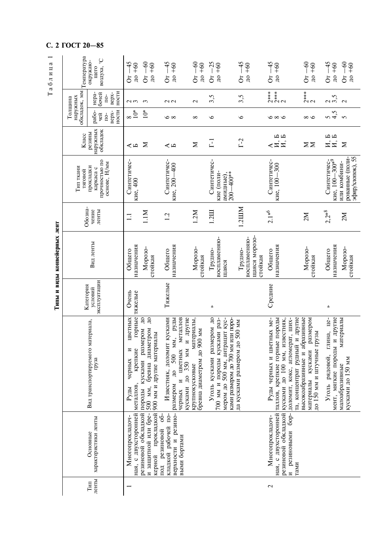# С. 2 ГОСТ 20-85

Таблица 1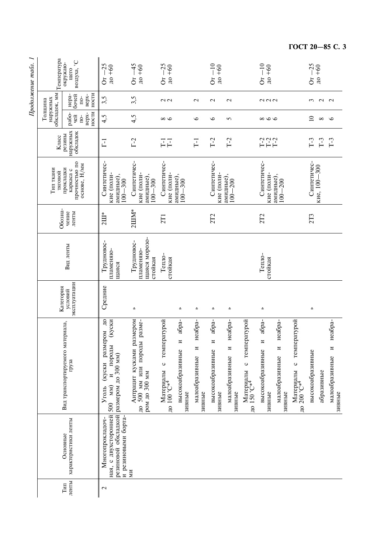| <b>IIpoonmenue</b> nuum. 1 | Температура                         | воздуха, °С<br>окружаю-<br>щего                           | $O_T - 25$<br>$\mu$ o +60                                                                                         | $O_T - 45$<br>$\text{d}$ +60                                                          | $O_T - 25$<br>$\mu$ or $\mu$                           |                                          |                                          | $Or-10$<br>$\text{d} + 60$               |                                          |                                                                 | $Or-10$<br>$\text{no} + 60$                                                 |                                          |                                                                 | $O_T - 25$<br>$\mu$ o +60 |               |                                                                |
|----------------------------|-------------------------------------|-----------------------------------------------------------|-------------------------------------------------------------------------------------------------------------------|---------------------------------------------------------------------------------------|--------------------------------------------------------|------------------------------------------|------------------------------------------|------------------------------------------|------------------------------------------|-----------------------------------------------------------------|-----------------------------------------------------------------------------|------------------------------------------|-----------------------------------------------------------------|---------------------------|---------------|----------------------------------------------------------------|
|                            |                                     | HOCTM<br>нера-<br>бочей<br>Bepx-<br>$10-$                 | 3,5                                                                                                               | 3,5                                                                                   | $\sim$                                                 |                                          | $\mathbf 2$                              | $\mathbf 2$                              | $\mathbf 2$                              |                                                                 | 222                                                                         |                                          |                                                                 | 3                         | $\sim$ $\sim$ |                                                                |
|                            | обкладок, мм<br>наружных<br>Голщина | ности<br>рабо-<br>Bepx-<br>чей<br>$\overline{\mathsf{D}}$ | 4,5                                                                                                               | 4,5                                                                                   | $\infty$                                               |                                          | $\circ$                                  | ৩                                        | 5                                        |                                                                 | $\infty \infty$                                                             |                                          |                                                                 | $\overline{10}$           | ${}^{\circ}$  | $\circ$                                                        |
|                            | Класс                               | наружных<br>обкладок<br>резины                            | $\overline{L}$                                                                                                    | $\Gamma$ -2                                                                           | F1                                                     |                                          | $\overline{L}$                           | $T-2$                                    | $T-2$                                    |                                                                 | $\begin{array}{c} \mathbf{T-2} \\ \mathbf{T-2} \\ \mathbf{T-2} \end{array}$ |                                          |                                                                 | $T-3$                     | $T-3$         | $T-3$                                                          |
|                            | Тип ткани<br>тяговой                | прочностью по<br>основе, Н/мм<br>прокладки<br>каркаса с   | Синтетичес-<br>кие (поли-<br>амидные),<br>$100 - 300$                                                             | Синтетичес-<br>кие (поли-<br>амидные),<br>$100 - 300$                                 | Синтетичес-<br>кие (поли-                              | амидные),<br>$100 - 300$                 |                                          | Синтетичес-<br>кие (поли-                | амидные),<br>$100 - 200$                 |                                                                 | Синтетичес-<br>кие (поли-                                                   | амидные),<br>$100 - 200$                 |                                                                 | Синтетичес-               | кие, 100-300  |                                                                |
|                            | Обозна-                             | чение<br>ленты                                            | $2III^*$                                                                                                          | $2IIIM*$                                                                              | 2T1                                                    |                                          |                                          | 2T <sub>2</sub>                          |                                          |                                                                 | 2T <sub>2</sub>                                                             |                                          |                                                                 | 2T3                       |               |                                                                |
|                            |                                     | Вид ленты                                                 | Трудновос-<br>пламеняю-<br>щаяся                                                                                  | шаяся морозо-<br>Трудновос-<br>пламеняю-<br>стойкая                                   | Тепло-<br>стойкая                                      |                                          |                                          |                                          |                                          |                                                                 | Тепло-<br>стойкая                                                           |                                          |                                                                 |                           |               |                                                                |
|                            | Категория                           | эксплуатации<br>условий                                   | Средние                                                                                                           | 《                                                                                     |                                                        | 《                                        | à                                        | 《                                        | à                                        |                                                                 | ≪                                                                           |                                          |                                                                 | 《                         |               |                                                                |
|                            |                                     | материала,<br>Вид транспортируемого<br>груза              | ок модэмером до<br>(куски<br>и породы<br>Уголь                                                                    | размером<br>Антрацит кусками размером<br>до 500 мм или породы разме-<br>ром до 300 мм | с температурой<br>Материалы<br>до 100 °C* <sup>4</sup> | абра-<br>N<br>высокоабразивные<br>зивные | неабра-<br>N<br>малоабразивные<br>зивные | aбра-<br>И<br>высокоабразивные<br>зивные | неабра-<br>Z<br>малоабразивные<br>зивные | температурой<br>$\circ$<br>Материалы<br>до 150 °C* <sup>4</sup> | абра-<br>И<br>высокоабразивные<br>зивные                                    | неабра-<br>N<br>малоабразивные<br>зивные | температурой<br>$\circ$<br>Материалы<br>до 200 °C* <sup>4</sup> | высокоабразивные          | абразивные    | неабра-<br>$\overline{\mathbf{M}}$<br>малоабразивные<br>зивные |
|                            |                                     | характеристики ленты<br>Основные                          | резиновой обкладкой размером до 300 мм)<br>ная, с двухсторонней 500 мм)<br>и резиновыми борта-<br>Многопрокладоч- | ИИ                                                                                    |                                                        |                                          |                                          |                                          |                                          |                                                                 |                                                                             |                                          |                                                                 |                           |               |                                                                |
|                            |                                     | ленты<br>$TMT$                                            | $\mathbf 2$                                                                                                       |                                                                                       |                                                        |                                          |                                          |                                          |                                          |                                                                 |                                                                             |                                          |                                                                 |                           |               |                                                                |

Продолжение табл.  $I$ 

ГОСТ 20-85 С. 3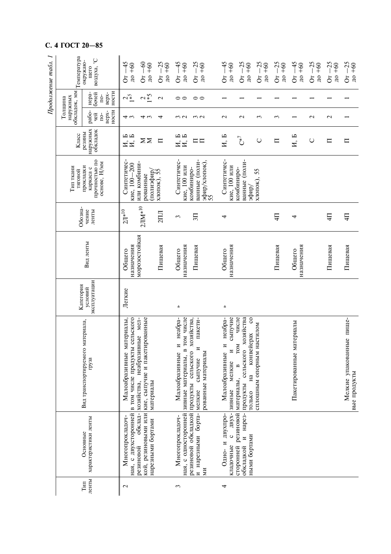| C.                  | 4 ГОСТ 20-85         |                                                         |                                                                                  |                                                                                                   |                                              |                                                                                |                                                                           |                                                                              |                                                                                                                                         |                                  |                                       |                                  |                                              |                                              |                                          |
|---------------------|----------------------|---------------------------------------------------------|----------------------------------------------------------------------------------|---------------------------------------------------------------------------------------------------|----------------------------------------------|--------------------------------------------------------------------------------|---------------------------------------------------------------------------|------------------------------------------------------------------------------|-----------------------------------------------------------------------------------------------------------------------------------------|----------------------------------|---------------------------------------|----------------------------------|----------------------------------------------|----------------------------------------------|------------------------------------------|
| Продолжение табл. 1 | Температура          | воздуха, $^{\circ} \mathbb{C}$<br>окружаю-<br>щего      | $\div$<br>$+60$<br>$\frac{1}{10}$<br>ð                                           | $-60$<br>$+60$<br>$\overline{A}$<br>$\delta$                                                      | $-25$<br>$+60$<br>$\overline{a}$<br>$\delta$ | $-45$<br>$+60$<br>$\overline{a}$<br>$\delta$                                   | $-25$<br>$\text{LO} + 60$<br>$\overline{5}$                               | $-45$<br>$+60$<br>$\overline{a}$<br>$\delta$                                 | $-25$<br>$+60$<br>$\overline{a}$<br>$\delta$                                                                                            | $-25$<br>$\mu$ o +60<br>$\delta$ | $-25$<br>$\text{LO} + 60$<br>$\delta$ | $-45$<br>$\mu$ o +60<br>$\delta$ | $-25$<br>$+60$<br>$\overline{a}$<br>$\delta$ | $-25$<br>$+60$<br>$\overline{a}$<br>$\delta$ | $-25$<br>$\text{LO}$ +60<br>$\delta$     |
|                     | обкладок, мм         | HOCTM<br>нера-<br>бочей<br>верх-<br>$\overline{10}$     | $2\frac{1}{2}$                                                                   | $\frac{2}{5}$                                                                                     | $\mathbf{\sim}$                              | 00                                                                             | $\circ$                                                                   |                                                                              |                                                                                                                                         |                                  |                                       |                                  |                                              |                                              |                                          |
|                     | наружных<br>Толщина  | ности<br>рабо-<br>верх-<br>чей<br>$10-$                 | 4 w                                                                              | 4 w                                                                                               | 4                                            | $\omega$ $\omega$                                                              | $\omega$                                                                  | $\mathbf{\sim}$                                                              | $\mathbf{\sim}$                                                                                                                         | $\mathfrak{c}$                   | 3                                     |                                  | $\sim$                                       | $\mathbf{\sim}$                              |                                          |
|                     | Класс                | наружных<br>обкладок<br>резины                          | Ю<br>$\overline{M}, \overline{B}$<br>И,                                          | $\Sigma \Sigma$                                                                                   | $\Box$                                       | И, Б<br>H, B                                                                   | $\square$ $\square$                                                       | H, B                                                                         | $C^{*7}$                                                                                                                                | $\cup$                           | $\Box$                                | И, Б                             | $\cup$                                       | $\Box$                                       | ᄃ                                        |
|                     | Тип ткани<br>тяговой | прочностью по<br>основе, Н/мм<br>прокладки<br>каркаса с | Синтетичес<br>кие, 100-200                                                       | или комбини-<br>(дифеицоц)<br>рованные                                                            | хлопок), 55                                  | Синтетичес-<br>кие, 100 или                                                    | ванные (поли-<br>эфир/хлопок),<br>55<br>комбиниро-                        | Синтетичес-<br>кие, 100 или                                                  | ванные (поли-<br>комбиниро-<br>⁄фифе                                                                                                    | хлопок), 55                      |                                       |                                  |                                              |                                              |                                          |
|                     | Обозна-              | чение<br>ленты                                          | $2JI^{*10}$                                                                      | $2JIM^{*10}$                                                                                      | $2\Pi$                                       | S                                                                              | $\overline{51}$                                                           | 4                                                                            |                                                                                                                                         |                                  | $\Xi$                                 | 4                                |                                              | $\overline{4}$                               | $\overline{4}$                           |
|                     |                      | Вид ленты                                               | назначения<br>Общего                                                             | морозостойкая                                                                                     | Пищевая                                      | назначения<br>Общего                                                           | Пищевая                                                                   | назначения<br>Общего                                                         |                                                                                                                                         |                                  | Пищевая                               | назначения<br>Общего             |                                              | Пищевая                                      | Пищевая                                  |
|                     | Категория            | эксплуатации<br>условий                                 | Легкие                                                                           |                                                                                                   |                                              | 《                                                                              |                                                                           | à                                                                            |                                                                                                                                         |                                  |                                       |                                  |                                              |                                              |                                          |
|                     |                      | ₫,<br>Вид транспортируемого материал<br>груза           | Малоабразивные материалы,<br>ная, с двухсторонней в том числе продукты сельского | мел-<br>кой, резиновыми или кие, сыпучие и пакетированные<br>хозяйства, неабразивные<br>материалы |                                              | Малоабразивные и неабра-<br>ная, с односторонней зивные материалы, в том числе | хозяйства,<br>пакети-<br>N<br>рованные материалы<br>сыпучие               | неабра-<br>сыпучие<br>Малоабразивные и<br>$\overline{M}$<br>мелкие<br>зивные | числе<br>хозяйства<br>$\mathbf{c}$<br>конвейерах<br>TOM<br>сельского<br>$\mathbf{r}$<br>$H\ddot{a}$<br>материалы,<br>продукты<br>ТОЛЬКО | сплошным опорным настилом        |                                       | Пакетированные материалы         |                                              |                                              | Мелкие упакованные пище-<br>вые продукты |
|                     |                      | характеристики ленты<br>Основные                        | Многопрокладоч-                                                                  | обклад-<br>нарезными бортами<br>резиновой                                                         |                                              | Многопрокладоч-                                                                | резиновой обкладкой продукты сельского<br>и нарезными борта- мелкие<br>ΜИ | $\mathbf{H}$<br>Одно- и двухпро-<br>$\circ$<br>кладочные                     | сторонней резиновой<br>нарез-<br>ными бортами<br>$\overline{M}$<br>обкладкой                                                            |                                  |                                       |                                  |                                              |                                              |                                          |
|                     |                      | ленты<br>Тип                                            | $\mathbf{\sim}$                                                                  |                                                                                                   |                                              | ξ                                                                              |                                                                           | 4                                                                            |                                                                                                                                         |                                  |                                       |                                  |                                              |                                              |                                          |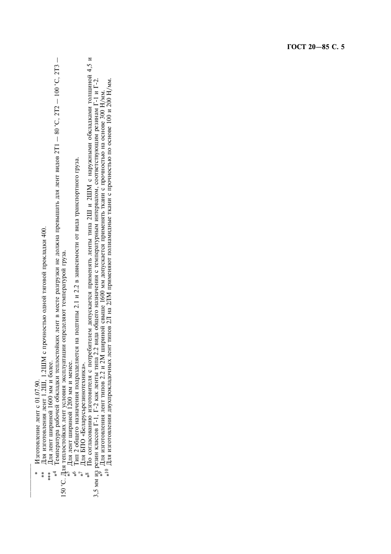Изготовление лент с 01.07.90.  $\ast$ 

Для изготовления лент 1.2Ш, 1.2ШМ с прочностью одной тяговой прокладки 400.  $*$ 

Для лент шириной 1600 мм и более.  $**\n$ 

 $\overline{\phantom{a}}$  $^{*4}$  Температура рабочей обкладки теплостойких лент в месте разгрузки не должна превышать для лент видов 2T1 - 80 °C, 2T2 - 100 °C, 2T3<br>150 °C. Для теплостойких лент условия эксплуатации определяют температурой груза.<br>

 $\mathcal{S}^*$ 

 $\overline{\zeta}$ 

Для лент шириной 1200 мм и менее.<br>Для лент шириной 1200 мм и менее.<br>Для БПО «Беларусьрезинотехника».<br>По согласованию изготовителя с потребителем допускается применять ленты типа 2Ш и 2ШМ с наружными обкладками толщиной 4, 3,5 мм из резин классов Г-1, Г-2 как ленты типа 2.2 вида общего назначения с температурным интервалом, соответствующим резинам Г-1 и Г-2.<br><sup>\*9</sup> Для изготовления лент типов 2.2 и 2M шириной свыше 1600 мм допускается применя  $\frac{8}{3}$ 

ГОСТ 20-85 С. 5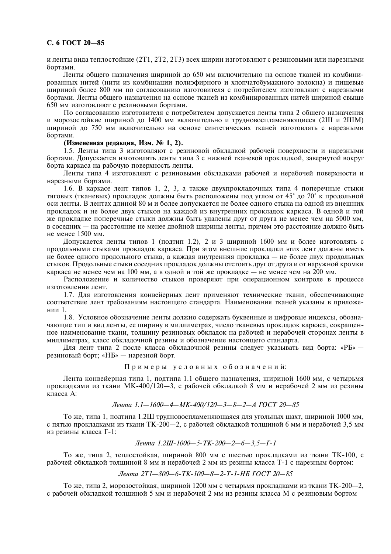# С. 6 ГОСТ 20-85

и ленты вида теплостойкие (2Т1, 2Т2, 2Т3) всех ширин изготовляют с резиновыми или нарезными бортами.

Ленты общего назначения шириной до 650 мм включительно на основе тканей из комбинированных нитей (нити из комбинации полиэфирного и хлопчатобумажного волокна) и пищевые шириной более 800 мм по согласованию изготовителя с потребителем изготовляют с нарезными бортами. Ленты общего назначения на основе тканей из комбинированных нитей шириной свыше 650 мм изготовляют с резиновыми бортами.

По согласованию изготовителя с потребителем лопускается ленты типа 2 общего назначения и морозостойкие шириной до 1400 мм включительно и трудновоспламеняющиеся (2Ш и 2ШМ) шириной до 750 мм включительно на основе синтетических тканей изготовлять с нарезными бортами.

# (Измененная редакция, Изм. № 1, 2).

1.5. Ленты типа 3 изготовляют с резиновой обкладкой рабочей поверхности и нарезными бортами. Допускается изготовлять ленты типа 3 с нижней тканевой прокладкой, завернутой вокруг борта каркаса на рабочую поверхность ленты.

Ленты типа 4 изготовляют с резиновыми обкладками рабочей и нерабочей поверхности и нарезными бортами.

1.6. В каркасе лент типов 1, 2, 3, а также двухпрокладочных типа 4 поперечные стыки тяговых (тканевых) прокладок должны быть расположены под углом от 45° до 70° к продольной оси ленты. В лентах длиной 80 м и более допускается не более одного стыка на одной из внешних прокладок и не более двух стыков на каждой из внутренних прокладок каркаса. В одной и той же прокладке поперечные стыки должны быть удалены друг от друга не менее чем на 5000 мм, в соседних - на расстояние не менее двойной ширины ленты, причем это расстояние должно быть не менее 1500 мм.

Лопускается ленты типов 1 (полтип 1.2), 2 и 3 шириной 1600 мм и более изготовлять с продольными стыками прокладок каркаса. При этом внешние прокладки этих лент должны иметь не более олного пролольного стыка, а кажлая внутренняя проклалка — не более лвух пролольных стыков. Продольные стыки соседних прокладок должны отстоять друг от друга и от наружной кромки каркаса не менее чем на 100 мм, а в одной и той же прокладке — не менее чем на 200 мм.

Расположение и количество стыков проверяют при операционном контроле в процессе изготовления лент.

1.7. Для изготовления конвейерных лент применяют технические ткани, обеспечивающие соответствие лент требованиям настоящего стандарта. Наименования тканей указаны в приложении 1.

1.8. Условное обозначение ленты должно содержать буквенные и цифровые индексы, обозначающие тип и вил ленты, ее ширину в миллиметрах, число тканевых проклалок каркаса, сокращенное наименование ткани, толщину резиновых обкладок на рабочей и нерабочей сторонах ленты в миллиметрах, класс обкладочной резины и обозначение настоящего стандарта.

Для лент типа 2 после класса обкладочной резины следует указывать вид борта: «PБ» резиновый борт; «НБ» — нарезной борт.

Примеры условных обозначений:

Лента конвейерная типа 1, полтипа 1.1 общего назначения, шириной 1600 мм, с четырьмя прокладками из ткани МК-400/120-3, с рабочей обкладкой 8 мм и нерабочей 2 мм из резины класса А:

# Лента 1.1-1600-4-МК-400/120-3-8-2-А ГОСТ 20-85

То же, типа 1, подтипа 1.2Ш трудновоспламеняющаяся для угольных шахт, шириной 1000 мм, с пятью прокладками из ткани ТК-200-2, с рабочей обкладкой толщиной 6 мм и нерабочей 3,5 мм из резины класса Г-1:

Лента 1.2Ш-1000-5-ТК-200-2-6-3.5-Г-1

То же, типа 2, теплостойкая, шириной 800 мм с шестью прокладками из ткани ТК-100, с рабочей обкладкой толщиной 8 мм и нерабочей 2 мм из резины класса Т-1 с нарезным бортом:

Лента 2Т1-800-6-ТК-100-8-2-Т-1-НБ ГОСТ 20-85

То же, типа 2, морозостойкая, шириной 1200 мм с четырьмя прокладками из ткани ТК-200-2, с рабочей обкладкой толщиной 5 мм и нерабочей 2 мм из резины класса М с резиновым бортом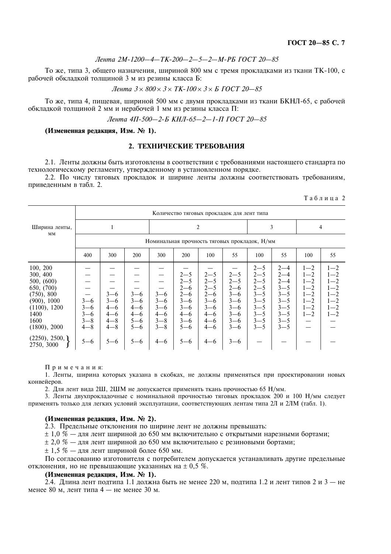Таблина 2

То же, типа 3, общего назначения, шириной 800 мм с тремя прокладками из ткани ТК-100, с рабочей обкладкой толщиной 3 м из резины класса Б:

*Лента* 
$$
3 \times 800 \times 3 \times TK-100 \times 3 \times 5
$$
 ГОСТ 20—85

То же, типа 4, пищевая, шириной 500 мм с двумя прокладками из ткани БКНЛ-65, с рабочей обкладкой толщиной 2 мм и нерабочей 1 мм из резины класса П:

Лента 4П-500-2-Б КНЛ-65-2-1-П ГОСТ 20-85

# (Измененная редакция, Изм. № 1).

# 2. ТЕХНИЧЕСКИЕ ТРЕБОВАНИЯ

2.1. Ленты должны быть изготовлены в соответствии с требованиями настоящего стандарта по технологическому регламенту, утвержденному в установленном порядке.

2.2. По числу тяговых прокладок и ширине ленты должны соответствовать требованиям. привеленным в табл. 2.

|                                                                                                                               |                                                     | Количество тяговых прокладок для лент типа                     |                                                                |                                                                |                                                                                                 |                                                                                                 |                                                                                                 |                                                                                                            |                                                                                                            |                                                                                      |                                                                                      |  |  |  |
|-------------------------------------------------------------------------------------------------------------------------------|-----------------------------------------------------|----------------------------------------------------------------|----------------------------------------------------------------|----------------------------------------------------------------|-------------------------------------------------------------------------------------------------|-------------------------------------------------------------------------------------------------|-------------------------------------------------------------------------------------------------|------------------------------------------------------------------------------------------------------------|------------------------------------------------------------------------------------------------------------|--------------------------------------------------------------------------------------|--------------------------------------------------------------------------------------|--|--|--|
| Ширина ленты,                                                                                                                 |                                                     |                                                                |                                                                |                                                                | 2<br>3                                                                                          |                                                                                                 |                                                                                                 |                                                                                                            |                                                                                                            |                                                                                      | 4                                                                                    |  |  |  |
| MM                                                                                                                            | Номинальная прочность тяговых прокладок, Н/мм       |                                                                |                                                                |                                                                |                                                                                                 |                                                                                                 |                                                                                                 |                                                                                                            |                                                                                                            |                                                                                      |                                                                                      |  |  |  |
|                                                                                                                               | 400                                                 | 300                                                            | 200                                                            | 300                                                            | 200                                                                                             | 100                                                                                             | 55                                                                                              | 100                                                                                                        | 55                                                                                                         | 100                                                                                  | 55                                                                                   |  |  |  |
| 100, 200<br>300, 400<br>500, (600)<br>650, (700)<br>(750), 800<br>(900), 1000<br>(1100), 1200<br>1400<br>1600<br>(1800), 2000 | $3 - 6$<br>$3 - 6$<br>$3 - 6$<br>$3 - 8$<br>$4 - 8$ | $3 - 6$<br>$3 - 6$<br>$4 - 6$<br>$4 - 6$<br>$4 - 8$<br>$4 - 8$ | $3 - 6$<br>$3 - 6$<br>$4 - 6$<br>$4 - 6$<br>$5 - 6$<br>$5 - 6$ | $3 - 6$<br>$3 - 6$<br>$3 - 6$<br>$4 - 6$<br>$3 - 8$<br>$3 - 8$ | $2 - 5$<br>$2 - 5$<br>$2 - 6$<br>$2 - 6$<br>$3 - 6$<br>$3 - 6$<br>$4 - 6$<br>$3 - 6$<br>$5 - 6$ | $2 - 5$<br>$2 - 5$<br>$2 - 5$<br>$2 - 6$<br>$3 - 6$<br>$3 - 6$<br>$4 - 6$<br>$4 - 6$<br>$4 - 6$ | $2 - 5$<br>$2 - 5$<br>$2 - 6$<br>$3 - 6$<br>$3 - 6$<br>$3 - 6$<br>$3 - 6$<br>$3 - 6$<br>$3 - 6$ | $2 - 5$<br>$2 - 5$<br>$2 - 5$<br>$2 - 5$<br>$3 - 5$<br>$3 - 5$<br>$3 - 5$<br>$3 - 5$<br>$3 - 5$<br>$3 - 5$ | $2 - 4$<br>$2 - 4$<br>$2 - 4$<br>$3 - 5$<br>$3 - 5$<br>$3 - 5$<br>$3 - 5$<br>$3 - 5$<br>$3 - 5$<br>$3 - 5$ | $1 - 2$<br>$1 - 2$<br>$1 - 2$<br>$1 - 2$<br>$1 - 2$<br>$1 - 2$<br>$1 - 2$<br>$1 - 2$ | $1 - 2$<br>$1 - 2$<br>$1 - 2$<br>$1 - 2$<br>$1 - 2$<br>$1 - 2$<br>$1 - 2$<br>$1 - 2$ |  |  |  |
| (2250), 2500,<br>2750, 3000                                                                                                   | $5 - 6$                                             | $5 - 6$                                                        | $5 - 6$                                                        | $4 - 6$                                                        | $5 - 6$                                                                                         | $4 - 6$                                                                                         | $3 - 6$                                                                                         |                                                                                                            |                                                                                                            |                                                                                      |                                                                                      |  |  |  |

Примечания:

1. Ленты, ширина которых указана в скобках, не должны применяться при проектировании новых конвейеров.

2. Для лент вида 2Ш, 2ШМ не допускается применять ткань прочностью 65 Н/мм.

3. Ленты двухпрокладочные с номинальной прочностью тяговых прокладок 200 и 100 Н/мм следует применять только для легких условий эксплуатации, соответствующих лентам типа 2Л и 2ЛМ (табл. 1).

# (Измененная редакция, Изм. № 2).

2.3. Предельные отклонения по ширине лент не должны превышать:

 $\pm$  1,0 % — для лент шириной до 650 мм включительно с открытыми нарезными бортами;

 $\pm$  2,0 % — для лент шириной до 650 мм включительно с резиновыми бортами;

 $\pm$  1.5 % — лля лент шириной более 650 мм.

По согласованию изготовителя с потребителем допускается устанавливать другие предельные отклонения, но не превышающие указанных на  $\pm$  0,5 %.

# (Измененная релакция, Изм. № 1).

2.4. Длина лент подтипа 1.1 должна быть не менее 220 м, подтипа 1.2 и лент типов 2 и 3 — не менее 80 м, лент типа 4 — не менее 30 м.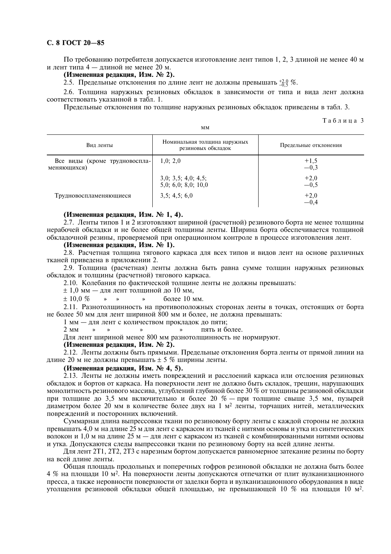# С. 8 ГОСТ 20-85

По требованию потребителя допускается изготовление лент типов 1, 2, 3 длиной не менее 40 м и лент типа 4 — длиной не менее 20 м.

# (Измененная редакция, Изм. № 2).

2.5. Предельные отклонения по длине лент не должны превышать  $^{+2,0}_{-0.5}$  %.

2.6. Толщина наружных резиновых обкладок в зависимости от типа и вида лент должна соответствовать указанной в табл. 1.

Предельные отклонения по толщине наружных резиновых обкладок приведены в табл. 3.

 $MM$ 

Таблина 3

| Вид ленты                                    | Номинальная толщина наружных<br>резиновых обкладок | Предельные отклонения |
|----------------------------------------------|----------------------------------------------------|-----------------------|
| Все виды (кроме трудновоспла-<br>меняющихся) | 1,0; 2,0                                           | $+1,5$<br>$-0,3$      |
|                                              | 3,0; 3,5; 4,0; 4,5;<br>5,0; 6,0; 8,0; 10,0         | $+2,0$<br>$-0,5$      |
| Трудновоспламеняющиеся                       | 3,5; 4,5; 6,0                                      | $+2,0$<br>$-0,4$      |

# (Измененная редакция, Изм. № 1, 4).

2.7. Ленты типов 1 и 2 изготовляют шириной (расчетной) резинового борта не менее толщины нерабочей обкладки и не более общей толщины ленты. Ширина борта обеспечивается толщиной обкладочной резины, проверяемой при операционном контроле в процессе изготовления лент.

# (Измененная редакция, Изм. № 1).

2.8. Расчетная толщина тягового каркаса для всех типов и видов лент на основе различных тканей приведена в приложении 2.

2.9. Толшина (расчетная) ленты должна быть равна сумме толшин наружных резиновых обкладок и толщины (расчетной) тягового каркаса.

2.10. Колебания по фактической толщине ленты не должны превышать:

 $\pm$  1.0 мм – для лент толщиной до 10 мм.

 $± 10.0 %$ более 10 мм.  $\mathbf{x} = \mathbf{x}$  $\mathbf{w}$ 

2.11. Разнотолщинность на противоположных сторонах ленты в точках, отстоящих от борта не более 50 мм для лент шириной 800 мм и более, не должна превышать:

1 мм - для лент с количеством прокладок до пяти;

пять и более.  $2 \mu M$  $\rightarrow$  $\rightarrow$  $\rightarrow$  $\rightarrow$ 

Для лент шириной менее 800 мм разнотолшинность не нормируют.

# (Измененная редакция, Изм. № 2).

2.12. Ленты должны быть прямыми. Предельные отклонения борта ленты от прямой линии на длине 20 м не должны превышать  $\pm$  5 % ширины ленты.

# (Измененная редакция, Изм. № 4, 5).

2.13. Ленты не должны иметь повреждений и расслоений каркаса или отслоения резиновых обкладок и бортов от каркаса. На поверхности лент не должно быть складок, трещин, нарушающих монолитность резинового массива, углублений глубиной более 30 % от толщины резиновой обкладки при толщине до 3,5 мм включительно и более 20 % — при толщине свыше 3,5 мм, пузырей диаметром более 20 мм в количестве более двух на 1 м<sup>2</sup> ленты, торчащих нитей, металлических повреждений и посторонних включений.

Суммарная длина выпрессовки ткани по резиновому борту ленты с каждой стороны не должна превышать 4,0 м на длине 25 м для лент с каркасом из тканей с нитями основы и утка из синтетических волокон и 1,0 м на длине 25 м - для лент с каркасом из тканей с комбинированными нитями основы и утка. Допускаются следы выпрессовки ткани по резиновому борту на всей длине ленты.

Для лент 2Т1, 2Т2, 2Т3 с нарезным бортом допускается равномерное затекание резины по борту на всей ллине ленты.

Общая площадь продольных и поперечных гофров резиновой обкладки не должна быть более 4 % на площади 10 м<sup>2</sup>. На поверхности ленты допускаются отпечатки от плит вулканизационного пресса, а также неровности поверхности от заделки борта и вулканизационного оборудования в виде утолщения резиновой обкладки общей площадью, не превышающей 10 % на площади 10 м<sup>2</sup>.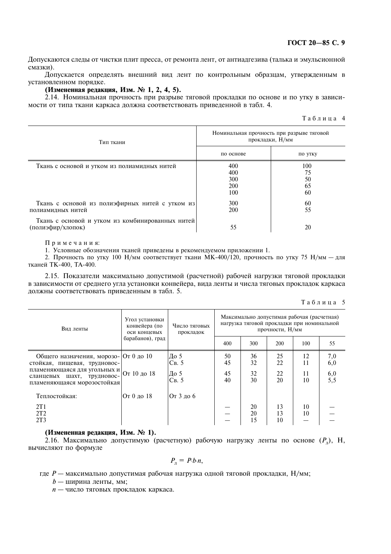# ГОСТ 20-85 С. 9

Допускаются следы от чистки плит пресса, от ремонта лент, от антиадгезива (талька и эмульсионной смазки).

Допускается определять внешний вид лент по контрольным образцам, утвержденным в установленном порядке.

# (Измененная редакция, Изм. № 1, 2, 4, 5).

2.14. Номинальная прочность при разрыве тяговой прокладки по основе и по утку в зависимости от типа ткани каркаса должна соответствовать приведенной в табл. 4.

|  |  |  |  |  |  |  | Таблица 4 |
|--|--|--|--|--|--|--|-----------|
|--|--|--|--|--|--|--|-----------|

| Тип ткани                                                             | Номинальная прочность при разрыве тяговой<br>прокладки, Н/мм |                             |
|-----------------------------------------------------------------------|--------------------------------------------------------------|-----------------------------|
|                                                                       | по основе                                                    | по утку                     |
| Ткань с основой и утком из полиамидных нитей                          | 400<br>400<br>300<br>200<br>100                              | 100<br>75<br>50<br>65<br>60 |
| Ткань с основой из полиэфирных нитей с утком из<br>полиамидных нитей  | <b>300</b><br><b>200</b>                                     | 60<br>55                    |
| Ткань с основой и утком из комбинированных нитей<br>(полиэфир/хлопок) | 55                                                           | 20                          |

Примечания:

1. Условные обозначения тканей привелены в рекоменлуемом приложении 1.

2. Прочность по утку 100 Н/мм соответствует ткани МК-400/120, прочность по утку 75 Н/мм - для тканей ТК-400, ТА-400.

2.15. Показатели максимально допустимой (расчетной) рабочей нагрузки тяговой прокладки в зависимости от среднего угла установки конвейера, вида ленты и числа тяговых прокладок каркаса должны соответствовать приведенным в табл. 5.

| Таблица |  |  |  | - 5 |
|---------|--|--|--|-----|
|         |  |  |  |     |

| Вид ленты                                                                                                                                                          | Угол установки<br>конвейера (по<br>оси концевых | Число тяговых<br>прокладок   | Максимально допустимая рабочая (расчетная)<br>нагрузка тяговой прокладки при номинальной<br>прочности, Н/мм |                      |                      |                      |                              |  |  |  |
|--------------------------------------------------------------------------------------------------------------------------------------------------------------------|-------------------------------------------------|------------------------------|-------------------------------------------------------------------------------------------------------------|----------------------|----------------------|----------------------|------------------------------|--|--|--|
|                                                                                                                                                                    | барабанов), град                                |                              | 400                                                                                                         | 300                  | 200                  | 100                  | 55                           |  |  |  |
| Общего назначения, морозо- От 0 до 10<br>стойкая, пищевая, трудновос-<br>пламеняющаяся для угольных и<br>сланцевых шахт, трудновос-<br>пламеняющаяся морозостойкая | От 10 до 18                                     | До 5<br>CB.5<br>До 5<br>CB.5 | 50<br>45<br>45<br>40                                                                                        | 36<br>32<br>32<br>30 | 25<br>22<br>22<br>20 | 12<br>11<br>11<br>10 | 7,0<br>6,0<br>$^{6,0}_{5,5}$ |  |  |  |
| Теплостойкая:<br>2T1<br>2T2<br>2T <sub>3</sub>                                                                                                                     | От 0 ло 18                                      | От 3 до 6                    |                                                                                                             | 20<br>20<br>15       | 13<br>13<br>10       | 10<br>10             |                              |  |  |  |

# (Измененная редакция, Изм. № 1).

2.16. Максимально допустимую (расчетную) рабочую нагрузку ленты по основе  $(P_n)$ , H, вычисляют по формуле

$$
P_{\scriptscriptstyle \rm T} = P.b.n,
$$

где  $P$  — максимально допустимая рабочая нагрузка одной тяговой прокладки,  $H/mm$ ;

 $b$  — ширина ленты, мм;

 $n -$ число тяговых прокладок каркаса.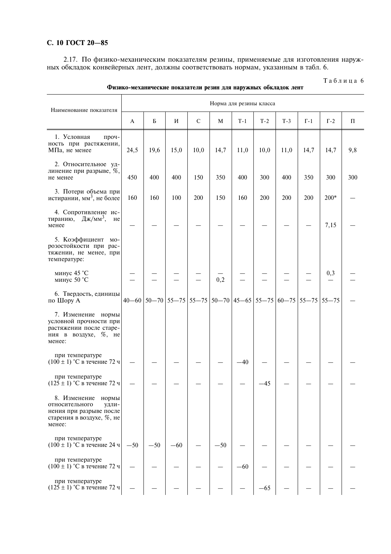# С. 10 ГОСТ 20-85

2.17. По физико-механическим показателям резины, применяемые для изготовления наружных обкладок конвейерных лент, должны соответствовать нормам, указанным в табл. 6.

| Наименование показателя                                                                                                   |              |       |                                         |              |       | Норма для резины класса   |       |       |             |             |         |
|---------------------------------------------------------------------------------------------------------------------------|--------------|-------|-----------------------------------------|--------------|-------|---------------------------|-------|-------|-------------|-------------|---------|
|                                                                                                                           | $\mathbf{A}$ | Б     | И                                       | $\mathsf{C}$ | M     | $T-1$                     | $T-2$ | $T-3$ | $\Gamma$ -1 | $\Gamma$ -2 | $\prod$ |
| 1. Условная<br>проч-<br>ность при растяжении,<br>МПа, не менее                                                            | 24,5         | 19,6  | 15,0                                    | 10,0         | 14,7  | 11,0                      | 10,0  | 11,0  | 14,7        | 14,7        | 9,8     |
| 2. Относительное уд-<br>линение при разрыве, %,<br>не менее                                                               | 450          | 400   | 400                                     | 150          | 350   | 400                       | 300   | 400   | 350         | 300         | 300     |
| 3. Потери объема при<br>истирании, мм <sup>3</sup> , не более                                                             | 160          | 160   | 100                                     | 200          | 150   | 160                       | 200   | 200   | 200         | $200*$      |         |
| 4. Сопротивление ис-<br>тиранию, Дж/мм <sup>3</sup> ,<br>He<br>менее                                                      |              |       |                                         |              |       |                           |       |       |             | 7,15        |         |
| 5. Коэффициент мо-<br>розостойкости при рас-<br>тяжении, не менее, при<br>температуре:                                    |              |       |                                         |              |       |                           |       |       |             |             |         |
| минус 45 °С<br>минус 50 °С                                                                                                |              |       |                                         |              | 0,2   |                           |       |       |             | 0,3         |         |
| 6. Твердость, единицы<br>по Шору А                                                                                        |              |       | $40 - 60$   50 - 70   55 - 75   55 - 75 |              |       | $50-70$ 45-65 55-75 60-75 |       |       | $55 - 75$   | $55 - 75$   |         |
| 7. Изменение нормы<br>условной прочности при<br>растяжении после старе-<br>ния в воздухе, %, не<br>менее:                 |              |       |                                         |              |       |                           |       |       |             |             |         |
| при температуре<br>$(100 \pm 1)$ °С в течение 72 ч                                                                        |              |       |                                         |              |       | $-40$                     |       |       |             |             |         |
| при температуре<br>$(125 \pm 1)$ °С в течение 72 ч                                                                        |              |       |                                         |              |       |                           | 45    |       |             |             |         |
| 8. Изменение<br>нормы<br>относительного<br><b>VДЛИ-</b><br>нения при разрыве после<br>старения в воздухе, %, не<br>менее: |              |       |                                         |              |       |                           |       |       |             |             |         |
| при температуре<br>$(100 \pm 1)$ °С в течение 24 ч                                                                        | $-50$        | $-50$ | $-60$                                   |              | $-50$ |                           |       |       |             |             |         |
| при температуре<br>$(100 \pm 1)$ °С в течение 72 ч                                                                        |              |       |                                         |              |       | $-60$                     |       |       |             |             |         |
| при температуре<br>$(125 \pm 1)$ °С в течение 72 ч                                                                        |              |       |                                         |              |       |                           | -65   |       |             |             |         |

Физико-механические показатели резин для наружных обкладок лент

Таблица 6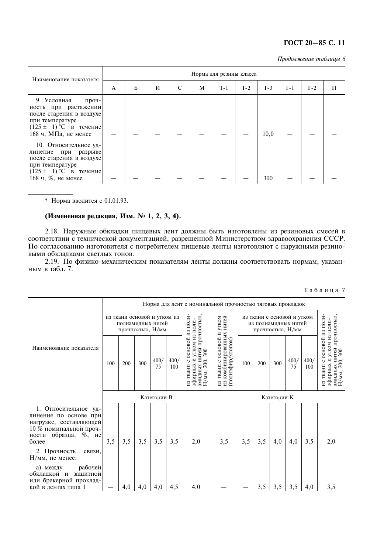# TOCT 20-85 C. 11

Продолжение таблицы 6

| Наименование показателя                                                                                                                                                                                                                                                                                    | Норма для резины класса |   |   |   |   |       |       |             |             |             |   |  |
|------------------------------------------------------------------------------------------------------------------------------------------------------------------------------------------------------------------------------------------------------------------------------------------------------------|-------------------------|---|---|---|---|-------|-------|-------------|-------------|-------------|---|--|
|                                                                                                                                                                                                                                                                                                            | A                       | Б | И | C | M | $T-1$ | $T-2$ | $T-3$       | $\Gamma$ -1 | $\Gamma$ -2 | П |  |
| 9. Условная<br>проч-<br>ность при растяжении<br>после старения в воздухе<br>при температуре<br>$(125 \pm 1)$ °C в течение<br>168 ч, МПа, не менее<br>10. Относительное уд-<br>при<br>разрыве<br>линение<br>после старения в воздухе<br>при температуре<br>$(125 \pm 1)$ °C в течение<br>168 ч, %, не менее |                         |   |   |   |   |       |       | 10,0<br>300 |             |             |   |  |
|                                                                                                                                                                                                                                                                                                            |                         |   |   |   |   |       |       |             |             |             |   |  |

V H:./">>:@%6?3? ,

# (Измененная редакция, Изм. № 1, 2, 3, 4).

2.18. Наружные обкладки пищевых лент должны быть изготовлены из резиновых смесей в соответствии с технической документацией, разрешенной Министерством здравоохранения СССР. По согласованию изготовителя с потребителем пищевые ленты изготовляют с наружными резиновыми обкладками светлых тонов.

2.19. По физико-механическим показателям ленты должны соответствовать нормам, указанным в табл. 7.

|                                                                                                                                                     |                                                                               |     |     |            |             | Норма для лент с номинальной прочностью тяговых прокладок                                                                  |                                                                        |             |     |                                                                        |            |             |                                                                                                               |  |  |  |  |  |
|-----------------------------------------------------------------------------------------------------------------------------------------------------|-------------------------------------------------------------------------------|-----|-----|------------|-------------|----------------------------------------------------------------------------------------------------------------------------|------------------------------------------------------------------------|-------------|-----|------------------------------------------------------------------------|------------|-------------|---------------------------------------------------------------------------------------------------------------|--|--|--|--|--|
|                                                                                                                                                     | из ткани основой и утком из<br>утком<br>полиамидных нитей<br>прочностью, Н/мм |     |     |            |             |                                                                                                                            |                                                                        |             |     | из ткани с основой и утком<br>из полиамилных нитей<br>прочностью, Н/мм |            |             |                                                                                                               |  |  |  |  |  |
| Наименование показателя                                                                                                                             | 100                                                                           | 200 | 300 | 400/<br>75 | 400/<br>100 | основой из поли-<br>амидных нитей прочностью<br>-ипоп ки мохту и хинеифе<br>300<br>200,<br>$\circ$<br>ткани<br>Н/мм,<br>И3 | из комбинированных нитей<br>основой и<br>(попизфир/алоп)<br>из ткани с | 100         | 200 | 300                                                                    | 400/<br>75 | 400/<br>100 | ткани с основой из поли-<br>амидных нитей прочностью<br>Н/мм, 200, 300<br>-ипоп ки можгу и хынфифе<br>$_{13}$ |  |  |  |  |  |
|                                                                                                                                                     | Категории В                                                                   |     |     |            |             |                                                                                                                            |                                                                        | Категории К |     |                                                                        |            |             |                                                                                                               |  |  |  |  |  |
| 1. Относительное<br>$VII -$<br>линение по основе при<br>нагрузке, составляющей<br>10 % номинальной проч-<br>образца,<br>$\%$ , не<br>ности<br>более | 3,5                                                                           | 3,5 | 3,5 | 3,5        | 3,5         | 2,0                                                                                                                        | 3,5                                                                    | 3,5         | 3,5 | 4,0                                                                    | 4,0        | 3,5         | 2,0                                                                                                           |  |  |  |  |  |
| 2. Прочность<br>связи,<br>Н/мм, не менее:                                                                                                           |                                                                               |     |     |            |             |                                                                                                                            |                                                                        |             |     |                                                                        |            |             |                                                                                                               |  |  |  |  |  |
| рабочей<br>а) между<br>обкладкой и<br>защитной<br>или брекерной проклад-<br>кой в лентах типа 1                                                     |                                                                               | 4,0 | 4,0 | 4,0        | 4,5         | 4,0                                                                                                                        |                                                                        |             | 3,5 | 3,5                                                                    | 3,5        | 4,0         | 3,5                                                                                                           |  |  |  |  |  |

.<br>Таблица *7*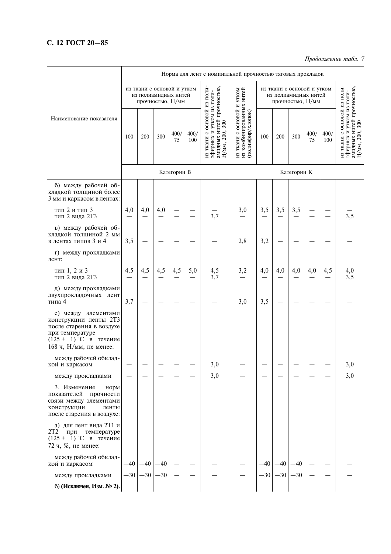# С. 12 ГОСТ 20-85

# Продолжение табл. 7

|                                                                                                                                                     |                                                                        |       |       |             |             | Норма для лент с номинальной прочностью тяговых прокладок                                                |                                                                             |       |       |             |            |             | Продолжение табл. /                                                                                    |
|-----------------------------------------------------------------------------------------------------------------------------------------------------|------------------------------------------------------------------------|-------|-------|-------------|-------------|----------------------------------------------------------------------------------------------------------|-----------------------------------------------------------------------------|-------|-------|-------------|------------|-------------|--------------------------------------------------------------------------------------------------------|
|                                                                                                                                                     | из ткани с основой и утком<br>из полиамидных нитей<br>прочностью, Н/мм |       |       |             |             | из ткани с основой и утком<br>из полиамидных нитей<br>прочностью, Н/мм                                   |                                                                             |       |       |             |            |             |                                                                                                        |
| Наименование показателя                                                                                                                             | 100                                                                    | 200   | 300   | 400/<br>75  | 400/<br>100 | из ткани с основой из поли-<br>амидных нитей прочностью<br>-мпоп ви можгу и хынфифе<br>300<br>Н/мм, 200, | из ткани с основой и утком<br>из комбинированных нитей<br>(полиэфир/хлопок) | 100   | 200   | 300         | 400/<br>75 | 400/<br>100 | из ткани с основой из поли-<br>амидных нитей прочностью.<br>-мпоп ви можгу и хынсифе<br>H/MM, 200, 300 |
|                                                                                                                                                     |                                                                        |       |       | Категории В |             |                                                                                                          |                                                                             |       |       | Категории К |            |             |                                                                                                        |
| б) между рабочей об-<br>кладкой толщиной более<br>3 мм и каркасом в лентах:                                                                         |                                                                        |       |       |             |             |                                                                                                          |                                                                             |       |       |             |            |             |                                                                                                        |
| тип 2 и тип 3<br>тип 2 вида 2Т3                                                                                                                     | 4,0                                                                    | 4,0   | 4,0   |             |             | 3,7                                                                                                      | 3,0                                                                         | 3,5   | 3,5   | 3,5         |            |             | 3,5                                                                                                    |
| в) между рабочей об-<br>кладкой толщиной 2 мм<br>в лентах типов 3 и 4                                                                               | 3,5                                                                    |       |       |             |             |                                                                                                          | 2,8                                                                         | 3,2   |       |             |            |             |                                                                                                        |
| г) между прокладками<br>лент:                                                                                                                       |                                                                        |       |       |             |             |                                                                                                          |                                                                             |       |       |             |            |             |                                                                                                        |
| тип 1, 2 и 3<br>тип 2 вида 2Т3                                                                                                                      | 4,5                                                                    | 4,5   | 4,5   | 4,5         | 5,0         | 4,5<br>3,7                                                                                               | 3,2                                                                         | 4,0   | 4,0   | 4,0         | 4,0        | 4,5         | 4,0<br>3,5                                                                                             |
| д) между прокладками<br>двухпрокладочных лент<br>типа 4                                                                                             | 3,7                                                                    |       |       |             |             |                                                                                                          | 3,0                                                                         | 3,5   |       |             |            |             |                                                                                                        |
| е) между элементами<br>конструкции ленты 2Т3<br>после старения в воздухе<br>при температуре<br>$(125 \pm 1)$ °C в течение<br>168 ч, Н/мм, не менее: |                                                                        |       |       |             |             |                                                                                                          |                                                                             |       |       |             |            |             |                                                                                                        |
| между рабочей обклад-<br>кой и каркасом                                                                                                             |                                                                        |       |       |             |             | 3,0                                                                                                      |                                                                             |       |       |             |            |             | 3,0                                                                                                    |
| между прокладками                                                                                                                                   |                                                                        |       |       |             |             | 3,0                                                                                                      |                                                                             |       |       |             |            |             | 3,0                                                                                                    |
| 3. Изменение<br>норм<br>показателей<br>прочности<br>связи между элементами<br>конструкции<br>ленты<br>после старения в воздухе:                     |                                                                        |       |       |             |             |                                                                                                          |                                                                             |       |       |             |            |             |                                                                                                        |
| а) для лент вида 2Т1 и<br>2T2<br>при<br>температуре<br>$(125 \pm 1)$ °C в течение<br>72 ч, %, не менее:                                             |                                                                        |       |       |             |             |                                                                                                          |                                                                             |       |       |             |            |             |                                                                                                        |
| между рабочей обклад-<br>кой и каркасом                                                                                                             | $-40$                                                                  | $-40$ | $-40$ |             |             |                                                                                                          |                                                                             | $-40$ | $-40$ | $-40$       |            |             |                                                                                                        |
| между прокладками                                                                                                                                   | $-30$                                                                  | $-30$ | $-30$ |             |             |                                                                                                          |                                                                             | $-30$ | $-30$ | $-30$       |            |             |                                                                                                        |
| б) (Исключен, Изм. № 2).                                                                                                                            |                                                                        |       |       |             |             |                                                                                                          |                                                                             |       |       |             |            |             |                                                                                                        |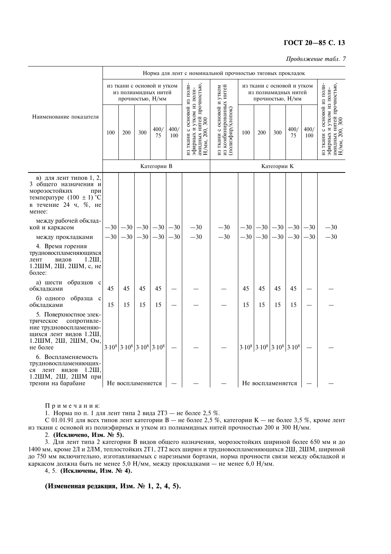# ГОСТ 20-85 С. 13

Продолжение табл. 7

|                                                                                                                                             |                                                                        | Норма для лент с номинальной прочностью тяговых прокладок        |     |             |             |                                                                                                         |                                                                             |     |                                                                  |                                                                        |                               |             |                                                                                                        |
|---------------------------------------------------------------------------------------------------------------------------------------------|------------------------------------------------------------------------|------------------------------------------------------------------|-----|-------------|-------------|---------------------------------------------------------------------------------------------------------|-----------------------------------------------------------------------------|-----|------------------------------------------------------------------|------------------------------------------------------------------------|-------------------------------|-------------|--------------------------------------------------------------------------------------------------------|
|                                                                                                                                             | из ткани с основой и утком<br>из полиамидных нитей<br>прочностью, Н/мм |                                                                  |     |             |             |                                                                                                         |                                                                             |     |                                                                  | из ткани с основой и утком<br>из полиамидных нитей<br>прочностью, Н/мм |                               |             |                                                                                                        |
| Наименование показателя                                                                                                                     | 100                                                                    | <b>200</b>                                                       | 300 | 400/<br>75  | 400/<br>100 | из ткани с основой из поли-<br>амидных нитей прочностью,<br>Н/мм, 200, 300<br>-мпоп ви можгу и хинерифе | из ткани с основой и утком<br>из комбинированных нитей<br>(полиэфир/хлопок) | 100 | <b>200</b>                                                       | 300                                                                    | 400/<br>75                    | 400/<br>100 | из ткани с основой из поли-<br>амидных нитей прочностью,<br>Н/мм, 200, 300<br>-мпоп ви можгу и хынсифе |
|                                                                                                                                             |                                                                        |                                                                  |     | Категории В |             |                                                                                                         |                                                                             |     |                                                                  | Категории К                                                            |                               |             |                                                                                                        |
| в) для лент типов 1, 2,<br>3 общего назначения и<br>морозостойких<br>при<br>температуре $(100 \pm 1)$ °С<br>в течение 24 ч, %, не<br>менее: |                                                                        |                                                                  |     |             |             |                                                                                                         |                                                                             |     |                                                                  |                                                                        |                               |             |                                                                                                        |
| между рабочей обклад-<br>кой и каркасом                                                                                                     |                                                                        | $-30$ $-30$ $-30$ $-30$ $-30$                                    |     |             |             | $-30$                                                                                                   | $-30$                                                                       |     |                                                                  |                                                                        | $-30$ $-30$ $-30$ $-30$ $-30$ |             | $-30$                                                                                                  |
| между прокладками                                                                                                                           |                                                                        | $-30$ $-30$ $-30$ $-30$                                          |     |             | $-30$       | $-30$                                                                                                   | $-30$                                                                       |     | $-30$ $-30$ $-30$ $-30$                                          |                                                                        |                               | $-30$       | $-30$                                                                                                  |
| 4. Время горения<br>трудновоспламеняющихся<br>$1.2$ III.<br>лент<br>видов<br>1.2ШМ, 2Ш, 2ШМ, с, не<br>более:                                |                                                                        |                                                                  |     |             |             |                                                                                                         |                                                                             |     |                                                                  |                                                                        |                               |             |                                                                                                        |
| а) шести образцов с<br>обкладками                                                                                                           | 45                                                                     | 45                                                               | 45  | 45          |             |                                                                                                         |                                                                             | 45  | 45                                                               | 45                                                                     | 45                            |             |                                                                                                        |
| б) одного образца с<br>обкладками                                                                                                           | 15                                                                     | 15                                                               | 15  | 15          |             |                                                                                                         |                                                                             | 15  | 15                                                               | 15                                                                     | 15                            |             |                                                                                                        |
| 5. Поверхностное элек-<br>трическое<br>сопротивле-<br>ние трудновоспламеняю-<br>щихся лент видов 1.2Ш,<br>1.2ШМ, 2Ш, 2ШМ, Ом,<br>не более   |                                                                        | $3.10^{8}$ 3.10 <sup>8</sup> 3.10 <sup>8</sup> 3.10 <sup>8</sup> |     |             |             |                                                                                                         |                                                                             |     | $3.10^{8}$ 3.10 <sup>8</sup> 3.10 <sup>8</sup> 3.10 <sup>8</sup> |                                                                        |                               |             |                                                                                                        |
| 6. Воспламеняемость<br>трудновоспламеняющих-<br>лент видов<br>$1.2$ III.<br>ся<br>1.2ШМ, 2Ш, 2ШМ при<br>трении на барабане                  |                                                                        | Не воспламеняется                                                |     |             |             |                                                                                                         |                                                                             |     | Не воспламеняется                                                |                                                                        |                               |             |                                                                                                        |
|                                                                                                                                             |                                                                        |                                                                  |     |             |             |                                                                                                         |                                                                             |     |                                                                  |                                                                        |                               |             |                                                                                                        |

Примечания:

1. Норма по п. 1 для лент типа 2 вида 2Т3 - не более 2,5 %.

С 01.01.91 для всех типов лент категории В - не более 2,5 %, категории К - не более 3,5 %, кроме лент из ткани с основой из полиэфирных и утком из полиамидных нитей прочностью 200 и 300 Н/мм.

2. (Исключено, Изм. № 5).

3. Для лент типа 2 категории В видов общего назначения, морозостойких шириной более 650 мм и до 1400 мм, кроме 2Л и 2ЛМ, теплостойких 2Т1, 2Т2 всех ширин и трудновоспламеняющихся 2Ш, 2ШМ, шириной до 750 мм включительно, изготавливаемых с нарезными бортами, норма прочности связи между обкладкой и каркасом должна быть не менее 5,0 Н/мм, между прокладками - не менее 6,0 Н/мм.

4, 5. (Исключены, Изм. № 4).

(Измененная редакция, Изм. № 1, 2, 4, 5).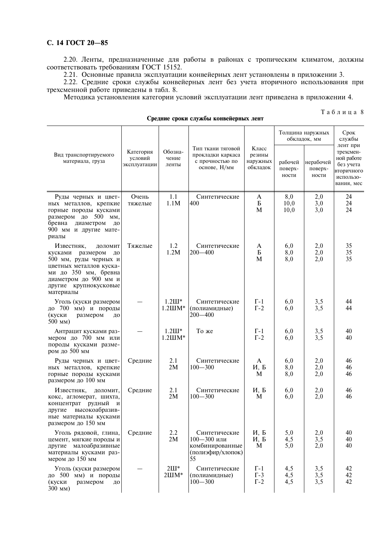# С. 14 ГОСТ 20-85

2.20. Ленты, предназначенные для работы в районах с тропическим климатом, должны соответствовать требованиям ГОСТ 15152.

2.21. Основные правила эксплуатации конвейерных лент установлены в приложении 3.

2.22. Средние сроки службы конвейерных лент без учета вторичного использования при трехсменной работе приведены в табл. 8.

Методика установления категории условий эксплуатации лент приведена в приложении 4.

|                                                                                                                                                                                            |                                      |                                    |                                                                                |                                           | Толщина наружных<br>обкладок, мм | Срок<br>службы<br>лент при    |                                                                               |
|--------------------------------------------------------------------------------------------------------------------------------------------------------------------------------------------|--------------------------------------|------------------------------------|--------------------------------------------------------------------------------|-------------------------------------------|----------------------------------|-------------------------------|-------------------------------------------------------------------------------|
| Вид транспортируемого<br>материала, груза                                                                                                                                                  | Категория<br>условий<br>эксплуатации | Обозна-<br>чение<br>ленты          | Тип ткани тяговой<br>прокладки каркаса<br>с прочностью по<br>основе, Н/мм      | Класс<br>резины<br>наружных<br>обкладок   | рабочей<br>поверх-<br>ности      | нерабочей<br>поверх-<br>ности | трехсмен-<br>ной работе<br>без учета<br>вторичного<br>использо-<br>вания, мес |
| Руды черных и цвет-<br>ных металлов, крепкие<br>горные породы кусками<br>размером до 500<br>MM,<br>бревна диаметром<br>ДО<br>900 мм и другие мате-<br>риалы                                | Очень<br>тяжелые                     | 1.1<br>1.1M                        | Синтетические<br>400                                                           | A<br>Б<br>M                               | 8,0<br>10,0<br>10,0              | 2,0<br>3,0<br>3,0             | 24<br>24<br>24                                                                |
| Известняк,<br>доломит<br>кусками размером<br>ДО<br>500 мм, руды черных и<br>цветных металлов куска-<br>ми до 350 мм, бревна<br>диаметром до 900 мм и<br>другие крупнокусковые<br>материалы | Тяжелые                              | 1.2<br>1.2M                        | Синтетические<br>$200 - 400$                                                   | A<br>Б<br>M                               | 6,0<br>8,0<br>8,0                | 2,0<br>2,0<br>2,0             | 35<br>35<br>35                                                                |
| Уголь (куски размером<br>до 700 мм) и породы<br>размером<br>(куски<br>ДО<br>$500$ MM)                                                                                                      |                                      | $1.2$ III*<br>$1.2$ <i>HIM*</i>    | Синтетические<br>(полиамидные)<br>$200 - 400$                                  | $\Gamma$ -1<br>$\Gamma$ -2                | 6,0<br>6,0                       | 3,5<br>3,5                    | 44<br>44                                                                      |
| Антрацит кусками раз-<br>мером до 700 мм или<br>породы кусками разме-<br>ром до 500 мм                                                                                                     |                                      | $1.2$ III*<br>$1.2$ $HM*$          | То же                                                                          | $\Gamma$ -1<br>$\Gamma$ -2                | 6,0<br>6,0                       | 3,5<br>3,5                    | 40<br>40                                                                      |
| Руды черных и цвет-<br>ных металлов, крепкие<br>горные породы кусками<br>размером до 100 мм                                                                                                | Средние                              | 2.1<br>2M                          | Синтетические<br>$100 - 300$                                                   | $\mathbf{A}$<br>И, Б<br>M                 | 6,0<br>8,0<br>8,0                | 2,0<br>2,0<br>2,0             | 46<br>46<br>46                                                                |
| Известняк,<br>доломит,<br>кокс, агломерат, шихта,<br>концентрат рудный<br>И<br>другие высокоабразив-<br>ные материалы кусками<br>размером до 150 мм                                        | Средние                              | 2.1<br>2M                          | Синтетические<br>$100 - 300$                                                   | И, Б<br>M                                 | 6,0<br>6,0                       | 2,0<br>2,0                    | 46<br>46                                                                      |
| Уголь рядовой, глина,<br>цемент, мягкие породы и<br>другие малоабразивные<br>материалы кусками раз-<br>мером до 150 мм                                                                     | Средние                              | 2.2<br>2M                          | Синтетические<br>$100 - 300$ или<br>комбинированные<br>(полиэфир/хлопок)<br>55 | И, Б<br>И, Б<br>M                         | 5,0<br>4,5<br>5,0                | 2,0<br>3,5<br>2,0             | 40<br>40<br>40                                                                |
| Уголь (куски размером<br>до 500 мм) и породы<br>(куски<br>размером<br>ДО<br>300 MM)                                                                                                        |                                      | $2III*$<br>$2 \text{H} \text{M}^*$ | Синтетические<br>(полиамидные)<br>$100 - 300$                                  | $\Gamma$ -1<br>$\Gamma$ -3<br>$\Gamma$ -2 | 4,5<br>4,5<br>4,5                | 3,5<br>3,5<br>3,5             | 42<br>42<br>42                                                                |

Средние сроки службы конвейерных лент

.<br>Таблица 8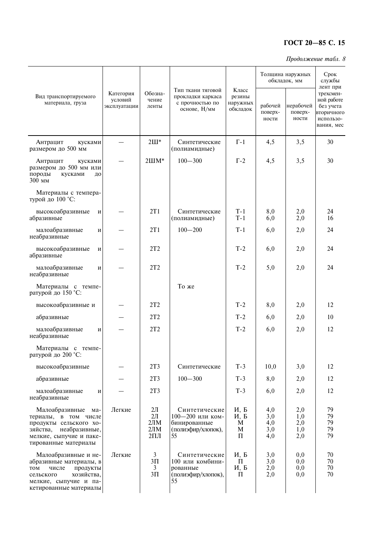# TOCT 20-85 C. 15

#### Продолжение табл. 8

|                                                                                                                                                           |                                      |                                              |                                                                               |                                         | Толщина наружных<br>обкладок, мм | Срок<br>службы<br>лент при      |                                                                               |  |
|-----------------------------------------------------------------------------------------------------------------------------------------------------------|--------------------------------------|----------------------------------------------|-------------------------------------------------------------------------------|-----------------------------------------|----------------------------------|---------------------------------|-------------------------------------------------------------------------------|--|
| Вид транспортируемого<br>материала, груза                                                                                                                 | Категория<br>условий<br>эксплуатации | Обозна-<br>чение<br>ленты                    | Тип ткани тяговой<br>прокладки каркаса<br>с прочностью по<br>основе, Н/мм     | Класс<br>резины<br>наружных<br>обкладок | рабочей<br>поверх-<br>ности      | нерабочей<br>поверх-<br>ности   | трехсмен-<br>ной работе<br>без учета<br>вторичного<br>использо-<br>вания, мес |  |
| Антрацит<br>кусками<br>размером до 500 мм                                                                                                                 |                                      | $2III*$                                      | Синтетические<br>(полиамидные)                                                | $\Gamma$ -1                             | 4,5                              | 3,5                             | 30                                                                            |  |
| Антрацит<br>кусками<br>размером до 500 мм или<br>породы<br>кусками<br>ДО<br>$300$ MM                                                                      |                                      | $2 \text{H} \text{M}^*$                      | $100 - 300$                                                                   | $\Gamma$ -2                             | 4,5                              | 3,5                             | 30                                                                            |  |
| Материалы с темпера-<br>турой до 100 °С:                                                                                                                  |                                      |                                              |                                                                               |                                         |                                  |                                 |                                                                               |  |
| высокоабразивные<br>И<br>абразивные                                                                                                                       |                                      | 2T1                                          | Синтетические<br>(полиамидные)                                                | $T-1$<br>$T-1$                          | 8,0<br>6,0                       | 2,0<br>2,0                      | 24<br>16                                                                      |  |
| малоабразивные<br>И<br>неабразивные                                                                                                                       |                                      | 2T1                                          | $100 - 200$                                                                   | $T-1$                                   | 6,0                              | 2,0                             | 24                                                                            |  |
| высокоабразивные<br>И<br>абразивные                                                                                                                       |                                      | 2T2                                          |                                                                               | $T-2$                                   | 6,0                              | 2,0                             | 24                                                                            |  |
| малоабразивные<br>И<br>неабразивные                                                                                                                       |                                      | 2T2                                          |                                                                               | $T-2$                                   | 5,0                              | 2,0                             | 24                                                                            |  |
| Материалы с темпе-<br>ратурой до 150 °С:                                                                                                                  |                                      |                                              | То же                                                                         |                                         |                                  |                                 |                                                                               |  |
| высокоабразивные и                                                                                                                                        |                                      | 2T2                                          |                                                                               | $T-2$                                   | 8,0                              | 2,0                             | 12                                                                            |  |
| абразивные                                                                                                                                                |                                      | 2T2                                          |                                                                               | $T-2$                                   | 6,0                              | 2,0                             | 10                                                                            |  |
| малоабразивные<br>И<br>неабразивные                                                                                                                       |                                      | 2T2                                          |                                                                               | $T-2$                                   | 6,0                              | 2,0                             | 12                                                                            |  |
| Материалы с темпе-<br>ратурой до 200 °С:                                                                                                                  |                                      |                                              |                                                                               |                                         |                                  |                                 |                                                                               |  |
| высокоабразивные                                                                                                                                          |                                      | 2T3                                          | Синтетические                                                                 | $T-3$                                   | 10,0                             | 3,0                             | 12                                                                            |  |
| абразивные                                                                                                                                                |                                      | 2T <sub>3</sub>                              | $100 - 300$                                                                   | $T-3$                                   | 8,0                              | 2,0                             | 12                                                                            |  |
| малоабразивные<br>И<br>неабразивные                                                                                                                       |                                      | 2T3                                          |                                                                               | $T-3$                                   | 6,0                              | 2,0                             | 12                                                                            |  |
| Малоабразивные<br>Ma-<br>териалы, в том числе<br>продукты сельского хо-<br>неабразивные,<br>зяйства,<br>мелкие, сыпучие и паке-<br>тированные материалы   | Легкие                               | $2\pi$<br>$2\pi$<br>2JIM<br>2JIM<br>$2\Pi$ Л | Синтетические<br>100-200 или ком-<br>бинированные<br>(полиэфир/хлопок),<br>55 | И, Б<br>И, Б<br>M<br>M<br>Π             | 4,0<br>3,0<br>4,0<br>3,0<br>4,0  | 2,0<br>1,0<br>2,0<br>1,0<br>2,0 | 79<br>79<br>79<br>79<br>79                                                    |  |
| Малоабразивные и не-<br>абразивные материалы, в<br>TOM<br>числе<br>продукты<br>хозяйства,<br>сельского<br>мелкие, сыпучие и па-<br>кетированные материалы | Легкие                               | 3<br>$3\Pi$<br>$\mathfrak{Z}$<br>$3\Pi$      | Синтетические<br>100 или комбини-<br>рованные<br>(полиэфир/хлопок),<br>55     | И, Б<br>Π<br>И, Б<br>П                  | 3,0<br>3,0<br>2,0<br>2,0         | 0,0<br>0,0<br>0,0<br>$_{0,0}$   | 70<br>70<br>70<br>70                                                          |  |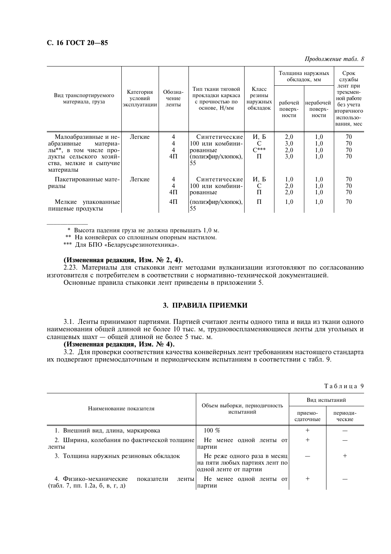# С. 16 ГОСТ 20-85

Продолжение табл. 8

|                                                               |                                      |                           |                                                                           |                                         | Толщина наружных<br>обкладок, мм | Срок<br>службы<br>лент при    |                                                                               |  |
|---------------------------------------------------------------|--------------------------------------|---------------------------|---------------------------------------------------------------------------|-----------------------------------------|----------------------------------|-------------------------------|-------------------------------------------------------------------------------|--|
| Вид транспортируемого<br>материала, груза                     | Категория<br>условий<br>эксплуатации | Обозна-<br>чение<br>ленты | Тип ткани тяговой<br>прокладки каркаса<br>с прочностью по<br>основе, Н/мм | Класс<br>резины<br>наружных<br>обкладок | рабочей<br>поверх-<br>ности      | нерабочей<br>поверх-<br>ности | трехсмен-<br>ной работе<br>без учета<br>вторичного<br>использо-<br>вания, мес |  |
| Малоабразивные и не-                                          | Легкие                               | 4                         | Синтетические                                                             | И, Б                                    | 2,0                              | 1,0                           | 70                                                                            |  |
| абразивные<br>материа-<br>лы**, в том числе про-              |                                      | 4<br>4                    | 100 или комбини-<br>рованные                                              | C<br>$C***$                             | 3,0<br>2,0                       | 1,0<br>1,0                    | 70<br>70                                                                      |  |
| дукты сельского хозяй-<br>ства, мелкие и сыпучие<br>материалы |                                      | 4Π                        | (полиэфир/хлопок),<br>55                                                  | П                                       | 3,0                              | 1,0                           | 70                                                                            |  |
| Пакетированные мате-<br>риалы                                 | Легкие                               | 4<br>$\overline{4}$<br>4Π | Синтетические<br>100 или комбини-<br>рованные                             | И, Б<br>C<br>П                          | 1,0<br>2,0<br>2,0                | 1,0<br>1,0<br>1,0             | 70<br>70<br>70                                                                |  |
| Мелкие<br>упакованные<br>пищевые продукты                     |                                      | 4Π                        | (полиэфир/хлопок),<br>55                                                  | $\Pi$                                   | 1,0                              | 1,0                           | 70                                                                            |  |

\* Высота падения груза не должна превышать 1,0 м.

\*\* На конвейерах со сплошным опорным настилом.

\*\*\* Для БПО «Беларусьрезинотехника».

# (Измененная редакция, Изм. № 2, 4).

2.23. Материалы для стыковки лент методами вулканизации изготовляют по согласованию изготовителя с потребителем в соответствии с нормативно-технической локументацией. Основные правила стыковки лент приведены в приложении 5.

# 3. ПРАВИЛА ПРИЕМКИ

3.1. Ленты принимают партиями. Партией считают ленты одного типа и вида из ткани одного наименования общей длиной не более 10 тыс. м, трудновоспламеняющиеся ленты для угольных и сланцевых шахт - общей длиной не более 5 тыс. м.

# (Измененная редакция, Изм. № 4).

3.2. Для проверки соответствия качества конвейерных лент требованиям настоящего стандарта их подвергают приемосдаточным и периодическим испытаниям в соответствии с табл. 9.

|  |  |  | Таблица 9 |  |
|--|--|--|-----------|--|
|  |  |  |           |  |

|                                                                                  | Объем выборки, периодичность                                                          | Вид испытаний        |                    |  |
|----------------------------------------------------------------------------------|---------------------------------------------------------------------------------------|----------------------|--------------------|--|
| Наименование показателя                                                          | испытаний                                                                             | приемо-<br>слаточные | периоди-<br>ческие |  |
| 1. Внешний вид, длина, маркировка                                                | 100 $%$                                                                               |                      |                    |  |
| 2. Ширина, колебания по фактической толщине<br>ленты                             | Не менее одной ленты от<br>партии                                                     |                      |                    |  |
| 3. Толщина наружных резиновых обкладок                                           | Не реже одного раза в месяц<br>на пяти любых партиях лент по<br>одной ленте от партии |                      |                    |  |
| 4. Физико-механические<br>показатели<br>ленты<br>(табл. 7, пп. 1.2а, б, в, г, д) | Не менее одной ленты от<br>партии                                                     |                      |                    |  |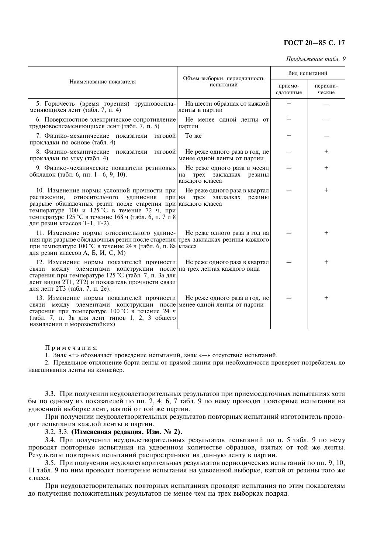# **FOCT 20-85 C. 17**

Продолжение табл. 9

|                                                                                                                                                                                                                                                                                                            | Объем выборки, периодичность                                                       | Вид испытаний        |                    |  |
|------------------------------------------------------------------------------------------------------------------------------------------------------------------------------------------------------------------------------------------------------------------------------------------------------------|------------------------------------------------------------------------------------|----------------------|--------------------|--|
| Наименование показателя                                                                                                                                                                                                                                                                                    | испытаний                                                                          | приемо-<br>сдаточные | периоди-<br>ческие |  |
| 5. Горючесть (время горения) трудновоспла-<br>меняющихся лент (табл. 7, п. 4)                                                                                                                                                                                                                              | На шести образцах от каждой<br>ленты в партии                                      | $^{+}$               |                    |  |
| 6. Поверхностное электрическое сопротивление<br>трудновоспламеняющихся лент (табл. 7, п. 5)                                                                                                                                                                                                                | Не менее одной ленты от<br>партии                                                  | $\pm$                |                    |  |
| 7. Физико-механические показатели тяговой<br>прокладки по основе (табл. 4)                                                                                                                                                                                                                                 | То же                                                                              | $\mathrm{+}$         |                    |  |
| 8. Физико-механические<br>показатели тяговой<br>прокладки по утку (табл. 4)                                                                                                                                                                                                                                | Не реже одного раза в год, не<br>менее одной ленты от партии                       |                      | $^+$               |  |
| 9. Физико-механические показатели резиновых<br>обкладок (табл. 6, пп. 1-6, 9, 10).                                                                                                                                                                                                                         | Не реже одного раза в месяц<br>трех<br>закладках<br>резины<br>на<br>каждого класса |                      | $^+$               |  |
| 10. Изменение нормы условной прочности при<br>растяжении,<br>относительного<br>удлинения<br>при на<br>разрыве обкладочных резин после старения при каждого класса<br>температуре 100 и 125 °С в течение 72 ч, при<br>температуре 125 °С в течение 168 ч (табл. 6, п. 7 и 8<br>для резин классов Т-1, Т-2). | Не реже одного раза в квартал<br>закладках<br>резины<br>Tpex                       |                      | $^+$               |  |
| 11. Изменение нормы относительного удлине-<br>ния при разрыве обкладочных резин после старения трех закладках резины каждого<br>при температуре 100 °С в течение 24 ч (табл. 6, п. 8а класса<br>для резин классов А, Б, И, С, М)                                                                           | Не реже одного раза в год на                                                       |                      | $^+$               |  |
| 12. Изменение нормы показателей прочности<br>связи между элементами конструкции после на трех лентах каждого вида<br>старения при температуре 125 °С (табл. 7, п. За для<br>лент видов 2Т1, 2Т2) и показатель прочности связи<br>для лент 2Т3 (табл. 7, п. 2е).                                            | Не реже одного раза в квартал                                                      |                      | $^+$               |  |
| 13. Изменение нормы показателей прочности<br>связи между элементами конструкции после менее одной ленты от партии<br>старения при температуре 100 °С в течение 24 ч<br>(табл. 7, п. 3в для лент типов 1, 2, 3 общего<br>назначения и морозостойких)                                                        | Не реже одного раза в год, не                                                      |                      | $\overline{+}$     |  |

 $\Pi$ римечания:

1. Знак «+» обозначает проведение испытаний, знак «- » отсутствие испытаний.

1. Знак «+» обозначает проведение испытаний, знак «—» отсутствие испытаний.<br>2. Предельное отклонение борта ленты от прямой линии при необходимости проверяет потребитель до навешивания ленты на конвейер.

3.3. При получении неудовлетворительных результатов при приемосдаточных испытаниях хотя бы по одному из показателей по пп. 2, 4, 6, 7 табл. 9 по нему проводят повторные испытания на удвоенной выборке лент, взятой от той же партии.

При получении неудовлетворительных результатов повторных испытаний изготовитель проводит испытания каждой ленты в партии.

3.2, 3.3. (Измененная редакция, Изм. № 2).

3.4. При получении неудовлетворительных результатов испытаний по п. 5 табл. 9 по нему проводят повторные испытания на удвоенном количестве образцов, взятых от той же ленты. Результаты повторных испытаний распространяют на данную ленту в партии.

3.5. При получении неудовлетворительных результатов периодических испытаний по пп. 9, 10, 11 табл. 9 по ним проводят повторные испытания на удвоенной выборке, взятой от резины того же класса.

При неудовлетворительных повторных испытаниях проводят испытания по этим показателям до получения положительных результатов не менее чем на трех выборках подряд.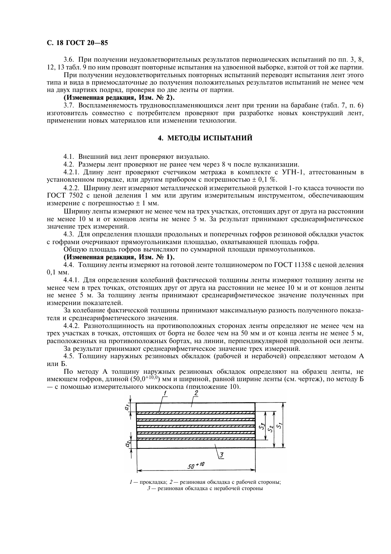# С. 18 ГОСТ 20-85

3.6. При получении неудовлетворительных результатов периодических испытаний по пп. 3, 8, 12, 13 табл. 9 по ним проводят повторные испытания на удвоенной выборке, взятой от той же партии.

При получении неудовлетворительных повторных испытаний переводят испытания лент этого типа и вида в приемосдаточные до получения положительных результатов испытаний не менее чем на двух партиях подряд, проверяя по две ленты от партии.

# (Измененная редакция, Изм. № 2).

3.7. Воспламеняемость трудновоспламеняющихся лент при трении на барабане (табл. 7, п. 6) изготовитель совместно с потребителем проверяют при разработке новых конструкций лент, применении новых материалов или изменении технологии.

# 4. МЕТОДЫ ИСПЫТАНИЙ

4.1. Внешний вид лент проверяют визуально.

4.2. Размеры лент проверяют не ранее чем через 8 ч после вулканизации.

4.2.1. Длину лент проверяют счетчиком метража в комплекте с УГН-1, аттестованным в установленном порядке, или другим прибором с погрешностью  $\pm$  0,1 %.

4.2.2. Ширину лент измеряют металлической измерительной рулеткой 1-го класса точности по ГОСТ 7502 с ценой деления 1 мм или другим измерительным инструментом, обеспечивающим измерение с погрешностью  $\pm$  1 мм.

Ширину ленты измеряют не менее чем на трех участках, отстоящих друг от друга на расстоянии не менее 10 м и от концов ленты не менее 5 м. За результат принимают среднеарифметическое значение трех измерений.

4.3. Для определения площади продольных и поперечных гофров резиновой обкладки участок с гофрами очерчивают прямоугольниками плошалью, охватывающей плошаль гофра.

Общую площадь гофров вычисляют по суммарной площади прямоугольников.

# (Измененная редакция, Изм. № 1).

4.4. Толщину ленты измеряют на готовой ленте толщиномером по ГОСТ 11358 с ценой деления  $0.1$  MM.

4.4.1. Для определения колебаний фактической толшины ленты измеряют толшину ленты не менее чем в трех точках, отстоящих друг от друга на расстоянии не менее 10 м и от концов ленты не менее 5 м. За толщину ленты принимают среднеарифметическое значение полученных при измерении показателей.

За колебание фактической толщины принимают максимальную разность полученного показателя и среднеарифметического значения.

4.4.2. Разнотолщинность на противоположных сторонах ленты определяют не менее чем на трех участках в точках, отстоящих от борта не более чем на 50 мм и от конца ленты не менее 5 м, расположенных на противоположных бортах, на линии, перпендикулярной продольной оси ленты. За результат принимают среднеарифметическое значение трех измерений.

4.5. Толщину наружных резиновых обкладок (рабочей и нерабочей) определяют методом А или Б.

По методу А толщину наружных резиновых обкладок определяют на образец ленты, не имеющем гофров, длиной (50,0<sup>+10,0</sup>) мм и шириной, равной ширине ленты (см. чертеж), по методу Б - с помощью измерительного микроскопа (приложение 10).



 $1 -$ прокладка: 2 — резиновая обкладка с рабочей стороны: 3 - резиновая обкладка с нерабочей стороны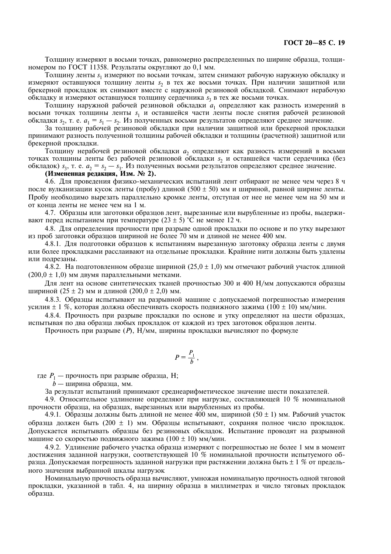Толщину измеряют в восьми точках, равномерно распределенных по ширине образца, толщиномером по ГОСТ 11358. Результаты округляют до 0,1 мм.

Толщину ленты s<sub>1</sub> измеряют по восьми точкам, затем снимают рабочую наружную обкладку и измеряют оставшуюся толщину ленты s, в тех же восьми точках. При наличии защитной или брекерной прокладок их снимают вместе с наружной резиновой обкладкой. Снимают нерабочую обкладку и измеряют оставшуюся толщину сердечника  $s_3$  в тех же восьми точках.

Толщину наружной рабочей резиновой обкладки  $a_1$  определяют как разность измерений в восьми точках толщины ленты s<sub>1</sub> и оставшейся части ленты после снятия рабочей резиновой обкладки  $s_2$ , т. е.  $a_1 = s_1 - s_2$ . Из полученных восьми результатов определяют среднее значение.

За толщину рабочей резиновой обкладки при наличии защитной или брекерной прокладки принимают разность полученной толщины рабочей обкладки и толщины (расчетной) защитной или брекерной прокладки.

Толщину нерабочей резиновой обкладки  $a_2$  определяют как разность измерений в восьми точках толщины ленты без рабочей резиновой обкладки s, и оставшейся части сердечника (без обкладок)  $s_3$ , т. е.  $a_2 = s_2 - s_3$ . Из полученных восьми результатов определяют среднее значение.

# (Измененная редакция, Изм. № 2).

4.6. Для проведения физико-механических испытаний лент отбирают не менее чем через 8 ч после вулканизации кусок ленты (пробу) длиной (500 ± 50) мм и шириной, равной ширине ленты. Пробу необходимо вырезать параллельно кромке ленты, отступая от нее не менее чем на 50 мм и от конца ленты не менее чем на 1 м.

4.7. Образцы или заготовки образцов лент, вырезанные или вырубленные из пробы, выдерживают перед испытанием при температуре (23 ± 5) °С не менее 12 ч.

4.8. Для определения прочности при разрыве одной прокладки по основе и по утку вырезают из проб заготовки образнов шириной не более 70 мм и длиной не менее 400 мм.

4.8.1. Для подготовки образцов к испытаниям вырезанную заготовку образца ленты с двумя или более прокладками расслаивают на отдельные прокладки. Крайние нити должны быть удалены или полрезаны.

4.8.2. На подготовленном образце шириной (25,0  $\pm$  1,0) мм отмечают рабочий участок длиной  $(200.0 \pm 1.0)$  мм двумя параллельными метками.

Для лент на основе синтетических тканей прочностью 300 и 400 Н/мм допускаются образцы шириной (25 ± 2) мм и длиной (200,0 ± 2,0) мм.

4.8.3. Образны испытывают на разрывной машине с лопускаемой погрешностью измерения усилия ± 1 %, которая должна обеспечивать скорость подвижного зажима (100 ± 10) мм/мин.

4.8.4. Прочность при разрыве прокладки по основе и утку определяют на шести образцах, испытывая по два образца любых прокладок от каждой из трех заготовок образцов ленты.

Прочность при разрыве (P),  $H/MM$ , ширины прокладки вычисляют по формуле

$$
P=\frac{P_1}{b}\,,
$$

где  $P_1$  — прочность при разрыве образца, Н;

 $\overrightarrow{b}$  — ширина образца, мм.

За результат испытаний принимают среднеарифметическое значение шести показателей.

4.9. Относительное удлинение определяют при нагрузке, составляющей 10 % номинальной прочности образца, на образцах, вырезанных или вырубленных из пробы.

4.9.1. Образцы должны быть длиной не менее 400 мм, шириной (50  $\pm$  1) мм. Рабочий участок образца должен быть (200  $\pm$  1) мм. Образцы испытывают, сохраняя полное число прокладок. Допускается испытывать образцы без резиновых обкладок. Испытание проводят на разрывной машине со скоростью подвижного зажима (100  $\pm$  10) мм/мин.

4.9.2. Удлинение рабочего участка образца измеряют с погрешностью не более 1 мм в момент достижения заданной нагрузки, соответствующей 10 % номинальной прочности испытуемого образца. Допускаемая погрешность заданной нагрузки при растяжении должна быть  $\pm$  1 % от предельного значения выбранной шкалы нагрузок

Номинальную прочность образца вычисляют, умножая номинальную прочность одной тяговой прокладки, указанной в табл. 4, на ширину образца в миллиметрах и число тяговых прокладок образца.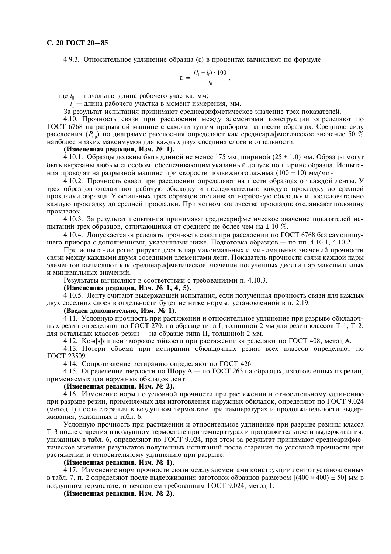4.9.3. Относительное удлинение образца ( $\varepsilon$ ) в процентах вычисляют по формуле

$$
\varepsilon = \frac{(l_1 - l_0) \cdot 100}{l_0},
$$

где  $l_0$  — начальная длина рабочего участка, мм;

 $l_1$  — длина рабочего участка в момент измерения, мм.

За результат испытания принимают среднеарифметическое значение трех показателей.

4.10. Прочность связи при расслоении между элементами конструкции определяют по ГОСТ 6768 на разрывной машине с самопишущим прибором на шести образцах. Среднюю силу расслоения ( $P_{\rm cn}$ ) по диаграмме расслоения определяют как среднеарифметическое значение 50 % наиболее низких максимумов для каждых двух соседних слоев в отдельности.

# (Измененная редакция, Изм. № 1).

4.10.1. Образцы должны быть длиной не менее 175 мм, шириной  $(25 \pm 1.0)$  мм. Образцы могут быть вырезаны любым способом, обеспечивающим указанный допуск по ширине образца. Испытания проводят на разрывной машине при скорости подвижного зажима (100  $\pm$  10) мм/мин.

4.10.2. Прочность связи при расслоении опрелеляют на шести образнах от кажлой ленты. У трех образцов отслаивают рабочую обкладку и последовательно каждую прокладку до средней прокладки образца. У остальных трех образцов отслаивают нерабочую обкладку и последовательно каждую прокладку до средней прокладки. При четном количестве прокладок отслаивают половину прокладок.

4.10.3. За результат испытания принимают среднеарифметическое значение показателей испытаний трех образцов, отличающихся от среднего не более чем на  $\pm$  10 %.

4.10.4. Допускается опрелелять прочность связи при расслоении по ГОСТ 6768 без самопишушего прибора с дополнениями, указанными ниже. Подготовка образцов — по пп. 4.10.1, 4.10.2.

При испытании регистрируют десять пар максимальных и минимальных значений прочности связи между каждыми двумя соседними элементами лент. Показатель прочности связи каждой пары элементов вычисляют как среднеарифметическое значение полученных десяти пар максимальных и минимальных значений.

Результаты вычисляют в соответствии с требованиями п. 4.10.3.

# (Измененная редакция, Изм. № 1, 4, 5).

4.10.5. Ленту считают выдержавшей испытания, если полученная прочность связи для каждых двух соседних слоев в отдельности будет не ниже нормы, установленной в п. 2.19.

# (Введен дополнительно, Изм. № 1).

4.11. Условную прочность при растяжении и относительное удлинение при разрыве обкладочных резин определяют по ГОСТ 270, на образце типа I, толщиной 2 мм для резин классов Т-1, Т-2, для остальных классов резин - на образце типа II, толщиной 2 мм.

4.12. Коэффициент морозостойкости при растяжении определяют по ГОСТ 408, метод А.

4.13. Потери объема при истирании обкладочных резин всех классов определяют по ГОСТ 23509.

4.14. Сопротивление истиранию определяют по ГОСТ 426.

4.15. Определение твердости по Шору А — по ГОСТ 263 на образцах, изготовленных из резин, применяемых лля наружных обклалок лент.

# (Измененная редакция, Изм. № 2).

4.16. Изменение норм по условной прочности при растяжении и относительному удлинению при разрыве резин, применяемых для изготовления наружных обкладок, определяют по ГОСТ 9.024 (метод 1) после старения в воздушном термостате при температурах и продолжительности выдерживания, указанных в табл. 6.

Условную прочность при растяжении и относительное удлинение при разрыве резины класса Т-3 после старения в возлушном термостате при температурах и продолжительности выдерживания, указанных в табл. 6, определяют по ГОСТ 9.024, при этом за результат принимают среднеарифметическое значение результатов полученных испытаний после старения по условной прочности при растяжении и относительному удлинению при разрыве.

# (Измененная редакция, Изм. № 1).

4.17. Изменение норм прочности связи между элементами конструкции лент от установленных в табл. 7, п. 2 определяют после выдерживания заготовок образцов размером  $[(400 \times 400) \pm 50]$  мм в воздушном термостате, отвечающем требованиям ГОСТ 9.024, метод 1.

(Измененная редакция, Изм. № 2).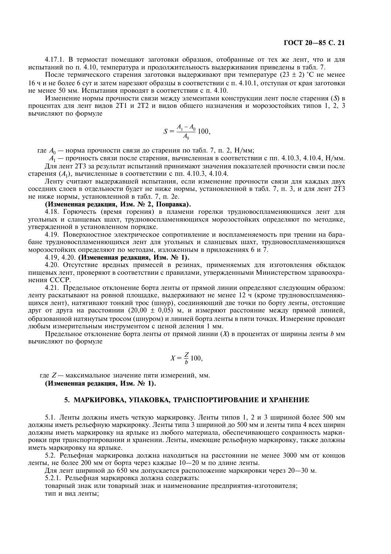4.17.1. В термостат помещают заготовки образцов, отобранные от тех же лент, что и для испытаний по п. 4.10, температура и продолжительность выдерживания приведены в табл. 7.

После термического старения заготовки выдерживают при температуре (23  $\pm$  2) °C не менее 16 ч и не более 6 сут и затем нарезают образцы в соответствии с п. 4.10.1, отступая от края заготовки не менее 50 мм. Испытания проводят в соответствии с п. 4.10.

Изменение нормы прочности связи между элементами конструкции лент после старения (S) в процентах для лент видов 2Т1 и 2Т2 и видов общего назначения и морозостойких типов 1, 2, 3 вычисляют по формуле

$$
S = \frac{A_1 - A_0}{A_0} 100,
$$

где  $A_0$  — норма прочности связи до старения по табл. 7, п. 2, Н/мм;

 $\overline{A_1}$  — прочность связи после старения, вычисленная в соответствии с пп. 4.10.3, 4.10.4, Н/мм. Для лент 2Т3 за результат испытаний принимают значения показателей прочности связи после старения  $(A_1)$ , вычисленные в соответствии с пп. 4.10.3, 4.10.4.

Ленту считают выдержавшей испытания, если изменение прочности связи для каждых двух соседних слоев в отдельности будет не ниже нормы, установленной в табл. 7, п. 3, и для лент 2Т3 не ниже нормы, установленной в табл. 7, п. 2е.

# (Измененная редакция, Изм. № 2, Поправка).

4.18. Горючесть (время горения) в пламени горелки трудновоспламеняющихся лент для угольных и сланцевых шахт, трудновоспламеняющихся морозостойких определяют по методике, утвержденной в установленном порядке.

4.19. Поверхностное электрическое сопротивление и воспламеняемость при трении на барабане трудновоспламеняющихся лент для угольных и сланцевых шахт, трудновоспламеняющихся морозостойких определяют по методам, изложенным в приложениях 6 и 7.

4.19, 4.20. (Измененная релакция, Изм. № 1).

4.20. Отсутствие вредных примесей в резинах, применяемых для изготовления обкладок пишевых лент, проверяют в соответствии с правилами, утвержденными Министерством здравоохранения СССР.

4.21. Предельное отклонение борта ленты от прямой линии определяют следующим образом: ленту раскатывают на ровной площадке, выдерживают не менее 12 ч (кроме трудновоспламеняющихся лент), натягивают тонкий трос (шнур), соединяющий две точки по борту ленты, отстоящие друг от друга на расстоянии (20,00  $\pm$  0,05) м, и измеряют расстояние между прямой линией, образованной натянутым тросом (шнуром) и линией борта ленты в пяти точках. Измерение проводят любым измерительным инструментом с ценой деления 1 мм.

Предельное отклонение борта ленты от прямой линии  $(X)$  в процентах от ширины ленты b мм вычисляют по формуле

$$
X = \frac{Z}{b} 100,
$$

где  $Z$  — максимальное значение пяти измерений, мм. (Измененная редакция, Изм. № 1).

# 5. МАРКИРОВКА, УПАКОВКА, ТРАНСПОРТИРОВАНИЕ И ХРАНЕНИЕ

5.1. Ленты должны иметь четкую маркировку. Ленты типов 1, 2 и 3 шириной более 500 мм должны иметь рельефную маркировку. Ленты типа 3 шириной до 500 мм и ленты типа 4 всех ширин лолжны иметь маркировку на ярлыке из любого материала, обеспечивающего сохранность маркировки при транспортировании и хранении. Ленты, имеющие рельефную маркировку, также должны иметь маркировку на ярлыке.

5.2. Рельефная маркировка должна находиться на расстоянии не менее 3000 мм от концов ленты, не более 200 мм от борта через каждые 10-20 м по длине ленты.

Для лент шириной до 650 мм допускается расположение маркировки через 20-30 м.

5.2.1. Рельефная маркировка должна содержать:

товарный знак или товарный знак и наименование предприятия-изготовителя; тип и вид ленты;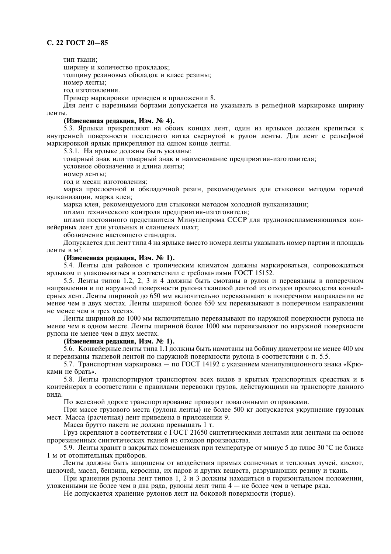тип ткани;

ширину и количество прокладок;

толщину резиновых обкладок и класс резины;

номер ленты;

год изготовления.

Пример маркировки приведен в приложении 8.

Для лент с нарезными бортами допускается не указывать в рельефной маркировке ширину ленты

# (Измененная редакция, Изм. № 4).

5.3. Ярлыки прикрепляют на обоих концах лент, один из ярлыков должен крепиться к внутренней поверхности последнего витка свернутой в рулон ленты. Для лент с рельефной маркировкой ярлык прикрепляют на одном конце ленты.

5.3.1. На ярлыке должны быть указаны:

товарный знак или товарный знак и наименование предприятия-изготовителя:

условное обозначение и длина ленты:

номер ленты:

год и месяц изготовления;

марка прослоечной и обкладочной резин, рекомендуемых для стыковки методом горячей вулканизации, марка клея;

марка клея, рекомендуемого для стыковки методом холодной вулканизации;

штамп технического контроля предприятия-изготовителя;

штамп постоянного представителя Минуглепрома СССР для трудновоспламеняющихся конвейерных лент для угольных и сланцевых шахт;

обозначение настоящего станларта.

Допускается для лент типа 4 на ярлыке вместо номера ленты указывать номер партии и площаль ленты в  $M^2$ .

# (Измененная редакция, Изм. № 1).

5.4. Ленты для районов с тропическим климатом должны маркироваться, сопровождаться ярлыком и упаковываться в соответствии с требованиями ГОСТ 15152.

5.5. Ленты типов 1.2, 2, 3 и 4 должны быть смотаны в рулон и перевязаны в поперечном направлении и по наружной поверхности рулона тканевой лентой из отходов производства конвейерных лент. Ленты шириной до 650 мм включительно перевязывают в поперечном направлении не менее чем в двух местах. Ленты шириной более 650 мм перевязывают в поперечном направлении не менее чем в трех местах.

Ленты шириной до 1000 мм включительно перевязывают по наружной поверхности рулона не менее чем в одном месте. Ленты шириной более 1000 мм перевязывают по наружной поверхности рулона не менее чем в двух местах.

# (Измененная редакция, Изм. № 1).

5.6. Конвейерные ленты типа 1.1 должны быть намотаны на бобину диаметром не менее 400 мм и перевязаны тканевой лентой по наружной поверхности рулона в соответствии с п. 5.5.

5.7. Транспортная маркировка — по ГОСТ 14192 с указанием манипуляционного знака «Крюками не брать».

5.8. Ленты транспортируют транспортом всех видов в крытых транспортных средствах и в контейнерах в соответствии с правилами перевозки грузов, действующими на транспорте данного вила

По железной дороге транспортирование проводят повагонными отправками.

При массе грузового места (рулона ленты) не более 500 кг допускается укрупнение грузовых мест. Масса (расчетная) лент приведена в приложении 9.

Масса брутто пакета не должна превышать 1 т.

Груз скрепляют в соответствии с ГОСТ 21650 синтетическими лентами или лентами на основе прорезиненных синтетических тканей из отходов производства.

5.9. Ленты хранят в закрытых помещениях при температуре от минус 5 до плюс 30 °С не ближе 1 м от отопительных приборов.

Ленты должны быть защищены от воздействия прямых солнечных и тепловых лучей, кислот, щелочей, масел, бензина, керосина, их паров и других веществ, разрушающих резину и ткань.

При хранении рулоны лент типов 1, 2 и 3 должны находиться в горизонтальном положении, уложенными не более чем в два ряда, рулоны лент типа 4 — не более чем в четыре ряда.

Не допускается хранение рулонов лент на боковой поверхности (торце).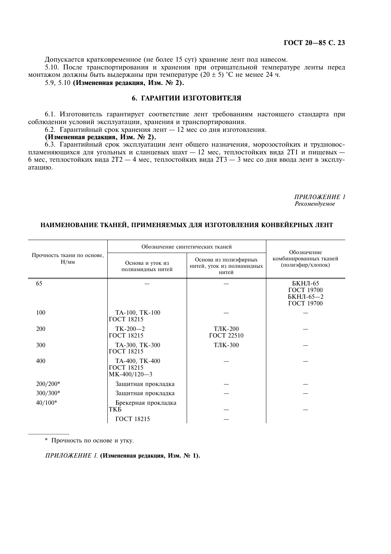Допускается кратковременное (не более 15 сут) хранение лент под навесом.

5.10. После транспортирования и хранения при отрицательной температуре ленты перед монтажом должны быть выдержаны при температуре (20 ± 5) °С не менее 24 ч.

5.9, 5.10 (Измененная редакция, Изм. № 2).

# 6. ГАРАНТИИ ИЗГОТОВИТЕЛЯ

6.1. Изготовитель гарантирует соответствие лент требованиям настоящего стандарта при соблюдении условий эксплуатации, хранения и транспортирования.

6.2. Гарантийный срок хранения лент - 12 мес со дня изготовления.

(Измененная редакция, Изм. № 2).

6.3. Гарантийный срок эксплуатации лент общего назначения, морозостойких и трудновоспламеняющихся для угольных и сланцевых шахт - 12 мес, теплостойких вида 2T1 и пищевых -6 мес, теплостойких вида 2T2 - 4 мес, теплостойких вида 2T3 - 3 мес со дня ввода лент в эксплуатацию.

> ПРИЛОЖЕНИЕ 1 Рекомендуемое

# НАИМЕНОВАНИЕ ТКАНЕЙ, ПРИМЕНЯЕМЫХ ДЛЯ ИЗГОТОВЛЕНИЯ КОНВЕЙЕРНЫХ ЛЕНТ

|                                    |                                                | Обозначение синтетических тканей                             | Обозначение                                      |  |  |
|------------------------------------|------------------------------------------------|--------------------------------------------------------------|--------------------------------------------------|--|--|
| Прочность ткани по основе,<br>H/MM | Основа и уток из<br>полиамидных нитей          | Основа из полиэфирных<br>нитей, уток из полиамидных<br>нитей | комбинированных тканей<br>(полиэфир/хлопок)      |  |  |
| 65                                 |                                                |                                                              | БКНЛ-65<br>ГОСТ 19700<br>БКНЛ-65-2<br>ГОСТ 19700 |  |  |
| 100                                | TA-100, TK-100<br>ГОСТ 18215                   |                                                              |                                                  |  |  |
| 200                                | $TK-200-2$<br>ГОСТ 18215                       | ТЛК-200<br><b>ГОСТ 22510</b>                                 |                                                  |  |  |
| 300                                | TA-300, TK-300<br><b>ГОСТ 18215</b>            | ТЛК-300                                                      |                                                  |  |  |
| 400                                | TA-400, TK-400<br>ГОСТ 18215<br>$MK-400/120-3$ |                                                              |                                                  |  |  |
| $200/200*$                         | Защитная прокладка                             |                                                              |                                                  |  |  |
| $300/300*$                         | Защитная прокладка                             |                                                              |                                                  |  |  |
| $40/100*$                          | Брекерная прокладка<br>ТКБ                     |                                                              |                                                  |  |  |
|                                    | ГОСТ 18215                                     |                                                              |                                                  |  |  |

\* Прочность по основе и утку.

ПРИЛОЖЕНИЕ 1. (Измененная редакция, Изм. № 1).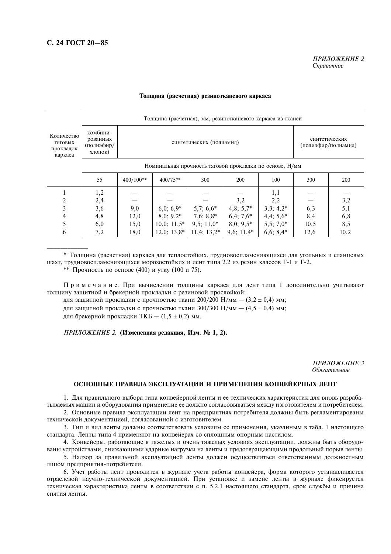|                                               |                                               | Толщина (расчетная), мм, резинотканевого каркаса из тканей |                                                                  |               |              |              |      |      |  |  |
|-----------------------------------------------|-----------------------------------------------|------------------------------------------------------------|------------------------------------------------------------------|---------------|--------------|--------------|------|------|--|--|
| Количество<br>тяговых<br>прокладок<br>каркаса | комбини-<br>рованных<br>(полиэфир/<br>хлопок) |                                                            | синтетических<br>синтетических (полиамид)<br>(полиэфир/полиамид) |               |              |              |      |      |  |  |
|                                               |                                               | Номинальная прочность тяговой прокладки по основе, Н/мм    |                                                                  |               |              |              |      |      |  |  |
|                                               | 55                                            | 400/100**                                                  | $400/75**$                                                       | 300           | 200          | 100          | 300  | 200  |  |  |
|                                               | 1,2                                           |                                                            |                                                                  |               |              | 1,1          |      |      |  |  |
| 2                                             | 2,4                                           |                                                            |                                                                  |               | 3,2          | 2,2          |      | 3,2  |  |  |
| 3                                             | 3,6                                           | 9,0                                                        | $6,0; 6,9*$                                                      | $5,7;6,6*$    | $4,8; 5,7*$  | $3,3; 4,2^*$ | 6,3  | 5,1  |  |  |
| 4                                             | 4,8                                           | 12,0                                                       | $8,0; 9,2^*$                                                     | $7,6; 8,8*$   | $6,4;7,6*$   | $4,4; 5,6*$  | 8,4  | 6,8  |  |  |
|                                               | 6,0                                           | 15,0                                                       | $10,0; 11,5*$                                                    | $9,5; 11,0*$  | $8,0; 9,5*$  | $5,5; 7,0*$  | 10,5 | 8,5  |  |  |
| 6                                             | 7,2                                           | 18,0                                                       | $12,0; 13,8*$                                                    | $11,4; 13,2*$ | $9,6; 11,4*$ | $6,6; 8,4*$  | 12,6 | 10,2 |  |  |

# Толщина (расчетная) резинотканевого каркаса

\* Толщина (расчетная) каркаса для теплостойких, трудновоспламеняющихся для угольных и сланцевых шахт, трудновоспламеняющихся морозостойких и лент типа 2.2 из резин классов Г-1 и Г-2.

\*\* Прочность по основе (400) и утку (100 и 75).

Примечание. При вычислении толщины каркаса для лент типа 1 дополнительно учитывают толщину защитной и брекерной прокладки с резиновой прослойкой:

для защитной прокладки с прочностью ткани 200/200  $H/MM - (3.2 \pm 0.4)$  мм; для защитной прокладки с прочностью ткани 300/300  $H/MM - (4.5 \pm 0.4)$  мм; для брекерной прокладки ТКБ -  $(1,5 \pm 0,2)$  мм.

ПРИЛОЖЕНИЕ 2. (Измененная редакция, Изм. № 1, 2).

ПРИЛОЖЕНИЕ З **Обязательное** 

#### ОСНОВНЫЕ ПРАВИЛА ЭКСПЛУАТАЦИИ И ПРИМЕНЕНИЯ КОНВЕЙЕРНЫХ ЛЕНТ

1. Для правильного выбора типа конвейерной ленты и ее технических характеристик для вновь разрабатываемых машин и оборудования применение ее должно согласовываться между изготовителем и потребителем.

2. Основные правила эксплуатации лент на предприятиях потребителя должны быть регламентированы технической документацией, согласованной с изготовителем.

3. Тип и вид ленты должны соответствовать условиям ее применения, указанным в табл. 1 настоящего стандарта. Ленты типа 4 применяют на конвейерах со сплошным опорным настилом.

4. Конвейеры, работающие в тяжелых и очень тяжелых условиях эксплуатации, должны быть оборудованы устройствами, снижающими ударные нагрузки на ленты и предотвращающими продольный порыв ленты.

5. Надзор за правильной эксплуатацией ленты должен осуществляться ответственным должностным лицом предприятия-потребителя.

6. Учет работы лент проводится в журнале учета работы конвейера, форма которого устанавливается отраслевой научно-технической документацией. При установке и замене ленты в журнале фиксируется техническая характеристика ленты в соответствии с п. 5.2.1 настоящего стандарта, срок службы и причина снятия ленты.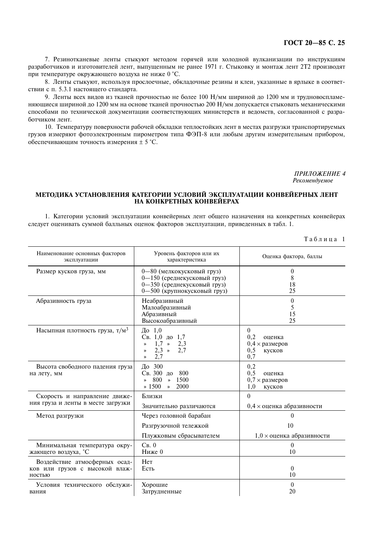.<br>7. Резинотканевые ленты стыкуют методом горячей или холодной вулканизации по инструкциям 7. Резинотканевые ленты стыкуют методом горячей или холодной вулканизации по инструкциям?<br>12 разработчиков и изготовителей лент, выпущенным не ранее 1971 г. Стыковку и монтаж лент 2Т2 производят при температуре окружающего воздуха не ниже 0 °С. при температуре окружающего воздуха не ниже 0 °C.<br>8. Ленты стыкуют, используя прослоечные, обкладочные резины и клеи, указанные в ярлыке в соответ-

ствии с п. 5.3.1 настоящего стандарта. ствии с п. 5.3.1 настоящего стандарта.<br>9. Ленты всех видов из тканей прочностью не более 100 Н/мм шириной до 1200 мм и трудновоспламе-

няющиеся шириной до 1200 мм на основе тканей прочностью 200 Н/мм допускается стыковать механическими няющиеся шириной до 1200 мм на основе тканей прочностью 200 Н/мм допускается стыковать механическими<br>способами по технической документации соответствующих министерств и ведомств, согласованной с разработчиком лент. ком лент.<br>10. Температуру поверхности рабочей обкладки теплостойких лент в местах разгрузки транспортируемых

10. Температуру поверхности рабочей обкладки теплостойких лент в местах разгрузки транспортируемых<br>- грузов измеряют фотоэлектронным пирометром типа ФЭП-8 или любым другим измерительным прибором обеспечивающим точность измерения  $\pm$  5 °C.

> ПРИЛОЖЕНИЕ 4 Рекомендуемое

## методика установления категории условии эксплуатации конвеиерных лент НА КОНКРЕТНЫХ КОНВЕЙЕРАХ

.<br>1. Категории условий эксплуатации конвейерных лент общего назначения на конкретных конвейерах следует оценивать суммой балльных оценок факторов эксплуатации, приведенных в табл. 1.

Таблина 1

| Наименование основных факторов<br>эксплуатации                            | Уровень факторов или их<br>характеристика                                                                                       | Оценка фактора, баллы                                                            |
|---------------------------------------------------------------------------|---------------------------------------------------------------------------------------------------------------------------------|----------------------------------------------------------------------------------|
| Размер кусков груза, мм                                                   | 0-80 (мелкокусковый груз)<br>0-150 (среднекусковый груз)<br>0-350 (среднекусковый груз)<br>0-500 (крупнокусковый груз)          | 0<br>8<br>18<br>25                                                               |
| Абразивность груза                                                        | Неабразивный<br>Малоабразивный<br>Абразивный<br>Высокоабразивный                                                                | $\theta$<br>5<br>15<br>25                                                        |
| Насыпная плотность груза, т/м <sup>3</sup>                                | $\Box$ o 1,0<br>Св. 1,0 до 1,7<br>$1.7 \times$<br>2,3<br>$\rightarrow$<br>$2,3 \rightarrow$<br>2,7<br>$\rightarrow$<br>2,7<br>≫ | $\overline{0}$<br>0,2<br>оценка<br>$0.4 \times$ размеров<br>0,5<br>кусков<br>0,7 |
| Высота свободного падения груза<br>на лету, мм                            | $\pi$ 300<br>Св. 300 до<br>800<br>1500<br>800<br>$\rightarrow$<br>≫<br>$* 1500$<br>2000<br>$\rightarrow$                        | 0,2<br>0,5<br>оценка<br>$0,7 \times$ размеров<br>1,0<br>кусков                   |
| Скорость и направление движе-<br>ния груза и ленты в месте загрузки       | Близки<br>Значительно различаются                                                                                               | $\theta$<br>$0.4 \times$ оценка абразивности                                     |
| Метод разгрузки                                                           | Через головной барабан<br>Разгрузочной тележкой<br>Плужковым сбрасывателем                                                      | $\Omega$<br>10<br>$1,0 \times$ оценка абразивности                               |
| Минимальная температура окру-<br>жающего воздуха, °С                      | $C_{B}$ . 0<br>$H$ иже 0                                                                                                        | $\theta$<br>10                                                                   |
| Воздействие атмосферных осад-<br>ков или грузов с высокой влаж-<br>ностью | Her<br>Есть                                                                                                                     | $\theta$<br>10                                                                   |
| Условия технического обслужи-<br>вания                                    | Хорошие<br>Затрудненные                                                                                                         | $\boldsymbol{0}$<br>20                                                           |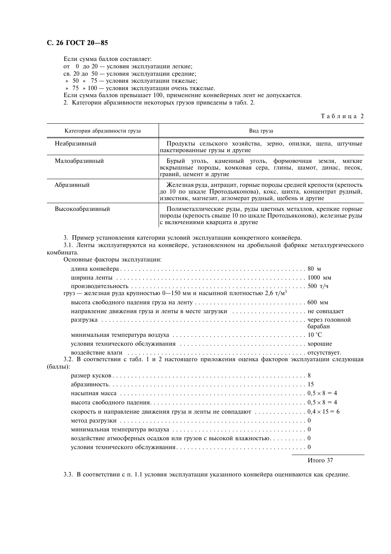# С. 26 ГОСТ 20-85

Если сумма баллов составляет:

 $\begin{array}{lll}\n\text{CEM} & \text{Cylima} & \text{CGLRO} & \text{CCLLIMET} \\
\text{CFL} & \text{CFL} & \text{CFL} & \text{CFL} \\
\text{CFL} & \text{CFL} & \text{CFL} & \text{CFL} \\
\text{CFL} & \text{CFL} & \text{CFL} & \text{CFL} \\
\text{CFL} & \text{CFL} & \text{CFL} & \text{CFL} \\
\text{CFL} & \text{CFL} & \text{CFL} & \text{CFL} \\
\text{CFL} & \text{CFL} & \text{CFL} & \text{CFL} \\
\text{CFL} & \text$ 

Если сумма баллов превышает 100, применение конвейерных лент не допускается.

2. Категории абразивности некоторых грузов приведены в табл. 2.

Таблица 2

| Категория абразивности груза | Вид груза                                                                                                                                                                                      |  |  |  |  |  |
|------------------------------|------------------------------------------------------------------------------------------------------------------------------------------------------------------------------------------------|--|--|--|--|--|
| Неабразивный                 | Продукты сельского хозяйства, зерно, опилки, щепа, штучные<br>пакетированные грузы и другие                                                                                                    |  |  |  |  |  |
| Малоабразивный               | Бурый уголь, каменный уголь, формовочная земля,<br>мягкие<br>вскрышные породы, комковая сера, глины, шамот, динас, песок,<br>гравий, цемент и другие                                           |  |  |  |  |  |
| Абразивный                   | Железная руда, антрацит, горные породы средней крепости (крепость<br>до 10 по шкале Протодьяконова), кокс, шихта, концентрат рудный,<br>известняк, магнезит, агломерат рудный, щебень и другие |  |  |  |  |  |
| Высокоабразивный             | Полиметаллические руды, руды цветных металлов, крепкие горные<br>породы (крепость свыше 10 по шкале Протодьяконова), железные руды<br>с включениями кварцита и другие                          |  |  |  |  |  |

3. Пример установления категории условий эксплуатации конкретного конвейера.

3.1. Ленты эксплуатируются на конвейере, установленном на дробильной фабрике металлургического комбината.

Основные факторы эксплуатации:

| груз — железная руда крупностью 0-150 мм и насыпной плотностью 2,6 т/м <sup>3</sup>                                         |          |
|-----------------------------------------------------------------------------------------------------------------------------|----------|
|                                                                                                                             |          |
| направление движения груза и ленты в месте загрузки  не совпадает                                                           |          |
|                                                                                                                             | барабан  |
| минимальная температура воздуха $\ldots \ldots \ldots \ldots \ldots \ldots \ldots \ldots \ldots \ldots \ldots \ldots 10$ °С |          |
|                                                                                                                             |          |
| 3.2. В соответствии с табл. 1 и 2 настоящего приложения оценка факторов эксплуатации следующая                              |          |
| (баллы):                                                                                                                    |          |
|                                                                                                                             |          |
|                                                                                                                             |          |
|                                                                                                                             |          |
|                                                                                                                             |          |
| скорость и направление движения груза и ленты не совпадают  0,4 $\times$ 15 = 6                                             |          |
|                                                                                                                             |          |
|                                                                                                                             |          |
| воздействие атмосферных осадков или грузов с высокой влажностью 0                                                           |          |
|                                                                                                                             |          |
|                                                                                                                             | Итого 37 |

3.3. В соответствии с п. 1.1 условия эксплуатации указанного конвейера оцениваются как средние.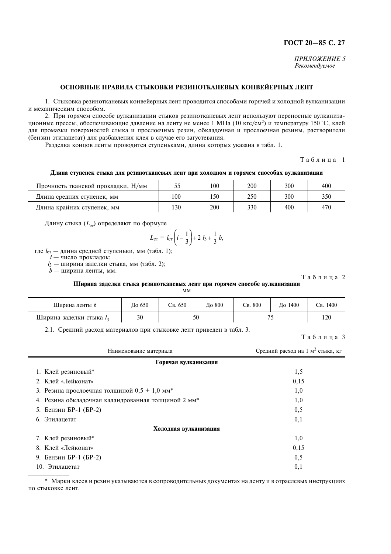# ГОСТ 20-85 С. 27

ПРИЛОЖЕНИЕ 5 Рекомендуемое

# ОСНОВНЫЕ ПРАВИЛА СТЫКОВКИ РЕЗИНОТКАНЕВЫХ КОНВЕЙЕРНЫХ ЛЕНТ

1. Стыковка резинотканевых конвейерных лент проводится способами горячей и холодной вулканизации и механическим способом.

2. При горячем способе вулканизации стыков резинотканевых лент используют переносные вулканизационные прессы, обеспечивающие давление на ленту не менее 1 МПа (10 кгс/см<sup>2</sup>) и температуру 150 °С, клей для промазки поверхностей стыка и прослоечных резин, обкладочная и прослоечная резины, растворители (бензин этилацетат) для разбавления клея в случае его загустевания.

Разделка концов ленты проводится ступеньками, длина которых указана в табл. 1.

Таблина 1

| Длина ступенек стыка для резинотканевых лент при холодном и горячем способах вулканизации |  |
|-------------------------------------------------------------------------------------------|--|
|-------------------------------------------------------------------------------------------|--|

| Прочность тканевой прокладки, Н/мм |     | 100  | 200 | 300 | 400 |
|------------------------------------|-----|------|-----|-----|-----|
| Длина средних ступенек, мм         | 100 | l 50 | 250 | 300 | 350 |
| Длина крайних ступенек, мм         | 130 | 200  | 330 | 400 | 470 |

Длину стыка  $(L_{cr})$  определяют по формуле

$$
L_{\rm cr} = l_{\rm cr} \left( i - \frac{1}{3} \right) + 2 l_3 + \frac{1}{3} b,
$$

где l<sub>cт</sub> — длина средней ступеньки, мм (табл. 1);

 $i$  — число прокладок;

 $l_3$  — ширина заделки стыка, мм (табл. 2);

 $b$  — ширина ленты, мм.

Таблица 2

## Ширина заделки стыка резинотканевых лент при горячем способе вулканизации

| Ширина ленты <i>b</i>      | До 650 | Св. 650 | До 800 | Св. 800 | До 1400 | 1400<br>Cв. |     |
|----------------------------|--------|---------|--------|---------|---------|-------------|-----|
| Ширина заделки стыка $l_3$ | 30     | 50      |        |         |         |             | 120 |

2.1. Средний расход материалов при стыковке лент приведен в табл. 3.

Таблица 3

| Наименование материала                              | Средний расход на 1 м <sup>2</sup> стыка, кг |  |  |  |  |
|-----------------------------------------------------|----------------------------------------------|--|--|--|--|
| Горячая вулканизация                                |                                              |  |  |  |  |
| 1. Клей резиновый*                                  | 1,5                                          |  |  |  |  |
| 2. Клей «Лейконат»                                  | 0,15                                         |  |  |  |  |
| 3. Резина прослоечная толщиной $0.5 + 1.0$ мм*      | 1,0                                          |  |  |  |  |
| 4. Резина обкладочная каландрованная толщиной 2 мм* | 1,0                                          |  |  |  |  |
| 5. Бензин БР-1 (БР-2)                               | 0,5                                          |  |  |  |  |
| 6. Этилацетат                                       | 0,1                                          |  |  |  |  |
| Холодная вулканизация                               |                                              |  |  |  |  |
| 7. Клей резиновый*                                  | 1,0                                          |  |  |  |  |
| 8. Клей «Лейконат»                                  | 0,15                                         |  |  |  |  |
| 9. Бензин БР-1 (БР-2)                               | 0,5                                          |  |  |  |  |
| 10. Этилацетат                                      | 0,1                                          |  |  |  |  |

\* Марки клеев и резин указываются в сопроводительных документах на ленту и в отраслевых инструкциях по стыковке лент.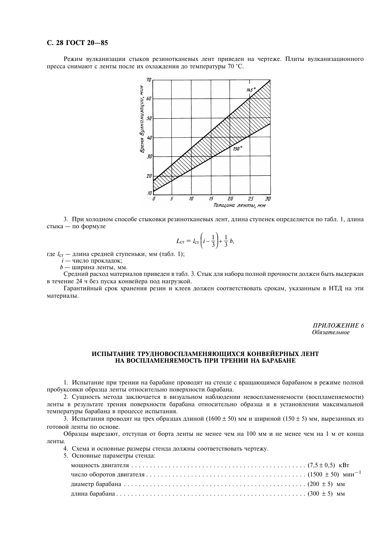# С. 28 ГОСТ 20-85

Режим вулканизации стыков резинотканевых лент приведен на чертеже. Плиты вулканизационного пресса снимают с ленты после их охлаждения до температуры 70 °С.



3. При холодном способе стыковки резинотканевых лент, длина ступенек определяется по табл. 1, длина стыка — по формуле

$$
L_{\text{CT}} = l_{\text{CT}} \left( i - \frac{1}{3} \right) + \frac{1}{3} b
$$

где  $l_{cr}$  — длина средней ступеньки, мм (табл. 1);<br> $i$  — число прокладок;

 $b$  — ширина ленты, мм.

5.

Средний расход материалов приведен в табл. 3. Стык для набора полной прочности должен быть выдержан в течение 24 ч без пуска конвейера под нагрузкой.

Гарантийный срок хранения резин и клеев должен соответствовать срокам, указанным в НТД на эти материалы.

> ПРИЛОЖЕНИЕ 6 Обязательное

# ИСПЫТАНИЕ ТРУДНОВОСПЛАМЕНЯЮЩИХСЯ КОНВЕЙЕРНЫХ ЛЕНТ НА ВОСПЛАМЕНЯЕМОСТЬ ПРИ ТРЕНИИ НА БАРАБАНЕ

1. Испытание при трении на барабане проводят на стенде с вращающимся барабаном в режиме полной пробуксовки образца ленты относительно поверхности барабана.

2. Сущность метода заключается в визуальном наблюдении невоспламеняемости (воспламеняемости) ленты в результате трения поверхности барабана относительно образца и в установлении максимальной температуры барабана в процессе испытания.

3. Испытания проводят на трех образцах длиной (1600  $\pm$  50) мм и шириной (150  $\pm$  5) мм, вырезанных из готовой ленты по основе.

Образцы вырезают, отступая от борта ленты не менее чем на 100 мм и не менее чем на 1 м от конца ленты.

4. Схема и основные размеры стенда должны соответствовать чертежу.

| Основные параметры стенда: |  |
|----------------------------|--|
|                            |  |
|                            |  |
|                            |  |
|                            |  |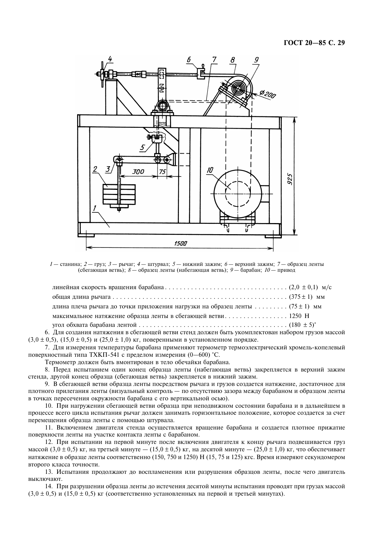

1— станина; 2— груз; 3— рычаг; 4— штурвал; 5— нижний зажим; 6— верхний зажим; 7— образец ленты (сбегающая ветвь);  $8-$  образец ленты (набегающая ветвь);  $9-$  барабан;  $10-$  привод

| длина плеча рычага до точки приложения нагрузки на образец ленты  (75 ± 1) мм                     |  |
|---------------------------------------------------------------------------------------------------|--|
|                                                                                                   |  |
|                                                                                                   |  |
| 6. Для создания натяжения в сбегающей ветви стенд должен быть укомплектован набором грузов массой |  |

(3,0  $\pm$  0,5), (15,0  $\pm$  0,5) и (25,0  $\pm$  1,0) кг, поверенными в установленном порядке.  $(3,0\pm 0,5)$ ,  $(15,0\pm 0,5)$  и  $(25,0\pm 1,0)$  кг, поверенными в установленном порядке.<br>7. Для измерения температуры барабана применяют термометр термоэлектрический хромель-копелевый

хностный типа ТХКП-541 с пределом измерения  $(0-600)$  °C.

Термометр должен быть вмонтирован в тело обечайки барабана.

Термометр должен быть вмонтирован в тело обечайки барабана.<br>8. Перед испытанием один конец образца ленты (набегающая ветвь) закрепляется в верхний зажим стенда, другой конец образца (сбегающая ветвь) закрепляется в нижний зажим. стенда, другой конец образца (сбегающая ветвь) закрепляется в нижний зажим.<br>9. В сбегающей ветви образца ленты посредством рычага и грузов создается натяжение, достаточное для

плотного прилегания ленты (визуальный контроль — по отсутствию зазора между барабаном и образцом ленті в точках пересечения окружности барабана с его вертикальной осью).

. в точках пересечения окружности барабана с его вертикальной осью).<br>10. При нагружении сбегающей ветви образца при неподвижном состоянии барабана и в дальнейшем в<br>процессе всего цикла испытания рычаг должен занимать гори процессе всего цикла испытания рычаг должен занимать горизонтальное положение, которое создается за счет перемещения образца ленты с помощью штурвала. перемещения образца ленты с помощью штурвала.<br>11. Включением двигателя стенда осуществляется вращение барабана и создается плотное прижатие

поверхности ленты на участке контакта ленты с барабаном. хности ленты на участке контакта ленты с барабаном.<br>12. При испытании на первой минуте после включения двигателя к концу рычага подвешивается груз

массой  $(3,0\pm 0.5)$  кг, на третьей минуте  $- (15,0\pm 0.5)$  кг, на десятой минуте  $- (25,0\pm 1,0)$  кг, что обеспечивает массой (3,0 ± 0,5) кг, на третьей минуте — (15,0 ± 0,5) кг, на десятой минуте — (25,0 ± 1,0) кг, что обеспечивает<br>натяжение в образце ленты соответственно (150, 750 и 1250) H (15, 75 и 125) кгс. Время измеряют секундомер второго класса точности. второго класса точности.<br>13. Испытания продолжают до воспламенения или разрушения образцов ленты, после чего двигатель

эчают.<br>14. При разрушении образца ленты до истечения десятой минуты испытания проводят при грузах массой

 $(3.0 \pm 0.5)$  и  $(15.0 \pm 0.5)$  кг (соответственно установленных на первой и третьей минутах).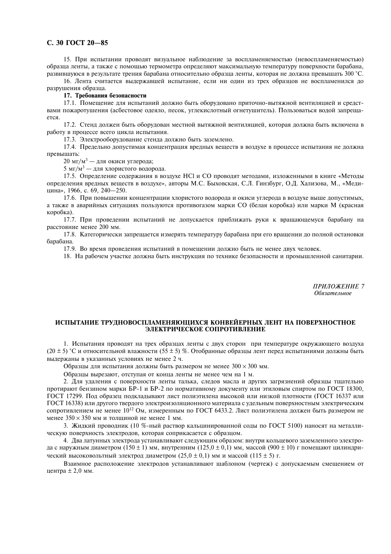# С. 30 ГОСТ 20-85

15. При испытании проволят визуальное наблюдение за воспламеняемостью (невоспламеняемостью) образца ленты, а также с помощью термометра определяют максимальную температуру поверхности барабана, развившуюся в результате трения барабана относительно образца ленты, которая не должна превышать 300 °С.

16. Лента считается выдержавшей испытание, если ни один из трех образцов не воспламенился до разрушения образца.

# 17. Требования безопасности

17.1. Помещение для испытаний должно быть оборудовано приточно-вытяжной вентиляцией и средствами пожаротушения (асбестовое одеяло, песок, углекислотный огнетушитель). Пользоваться водой запреща $ercs$ 

17.2. Стенд должен быть оборудован местной вытяжной вентиляцией, которая должна быть включена в работу в процессе всего цикла испытания.

17.3. Электрооборудование стенда должно быть заземлено.

17.4. Предельно допустимая концентрация вредных веществ в воздухе в процессе испытания не должна превышать:

20 мг/м<sup>3</sup> — для окиси углерода;

5 мг/м<sup>3</sup> — для хлористого водорода.

17.5. Определение содержания в воздухе HCl и CO проводят методами, изложенными в книге «Методы определения вредных веществ в воздухе», авторы М.С. Быховская, С.Л. Гинзбург, О.Д. Хализова, М., «Медицина», 1966, с. 69, 240-250.

17.6. При повышении концентрации хлористого водорода и окиси углерода в воздухе выше допустимых, а также в аварийных ситуациях пользуются противогазом марки СО (белая коробка) или марки М (красная коробка).

17.7. При проведении испытаний не допускается приближать руки к вращающемуся барабану на расстояние менее 200 мм.

17.8. Категорически запрещается измерять температуру барабана при его вращении до полной остановки барабана.

17.9. Во время проведения испытаний в помещении должно быть не менее двух человек.

18. На рабочем участке должна быть инструкция по технике безопасности и промышленной санитарии.

ПРИЛОЖЕНИЕ 7 Обязательное

# ИСПЫТАНИЕ ТРУДНОВОСПЛАМЕНЯЮЩИХСЯ КОНВЕЙЕРНЫХ ЛЕНТ НА ПОВЕРХНОСТНОЕ ЭЛЕКТРИЧЕСКОЕ СОПРОТИВЛЕНИЕ

1. Испытания проводят на трех образцах ленты с двух сторон при температуре окружающего воздуха  $(20 \pm 5)$  °С и относительной влажности (55 ± 5) %. Отобранные образцы лент перед испытаниями должны быть выдержаны в указанных условиях не менее 2 ч.

Образцы для испытания должны быть размером не менее  $300 \times 300$  мм.

Образцы вырезают, отступая от конца ленты не менее чем на 1 м.

2. Для удаления с поверхности ленты талька, следов масла и других загрязнений образцы тщательно протирают бензином марки БР-1 и БР-2 по нормативному документу или этиловым спиртом по ГОСТ 18300, ГОСТ 17299. Под образец подкладывают лист полиэтилена высокой или низкой плотности (ГОСТ 16337 или ГОСТ 16338) или другого твердого электроизоляционного материала с удельным поверхностным электрическим сопротивлением не менее 10<sup>12</sup> Ом, измеренным по ГОСТ 6433.2. Лист полиэтилена должен быть размером не менее  $350 \times 350$  мм и толщиной не менее 1 мм.

3. Жидкий проводник (10 %-ный раствор кальцинированной соды по ГОСТ 5100) наносят на металлическую поверхность электродов, которая соприкасается с образцом.

4. Два латунных электрода устанавливают следующим образом: внутри кольцевого заземленного электрода с наружным диаметром (150  $\pm$  1) мм, внутренним (125,0  $\pm$  0,1) мм, массой (900  $\pm$  10) г помещают цилиндрический высоковольтный электрод диаметром  $(25,0 \pm 0,1)$  мм и массой  $(115 \pm 5)$  г.

Взаимное расположение электродов устанавливают шаблоном (чертеж) с допускаемым смещением от центра  $\pm 2,0$  мм.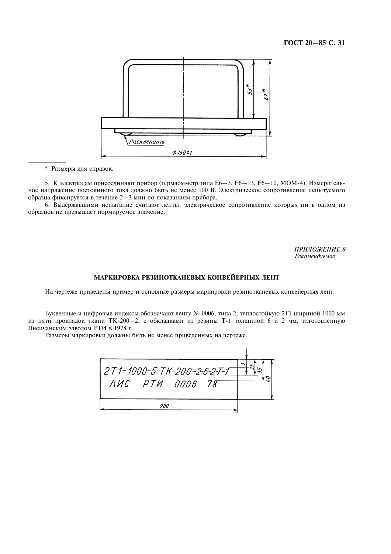

V ["=/0.7@\$3?B.">:9

5. К электродам присоединяют прибор (термаомметр типа E6—3, E6—13, E6—10, MOM-4). Измерительное напряжение постоянного тока должно быть не менее 100 В. Электрическое сопротивление испытуемог образца фиксируется в течение 2-3 мин по показаниям прибора.

образца фиксируется в течение 2—3 мин по показаниям прибора.<br>6. Выдержавшими испытание считают ленты, электрическое сопротивление которых ни в одном из образцов не превышает нормируемое значение.

> ПРИЛОЖЕНИЕ 8 Рекомендуемое

# МАРКИРОВКА РЕЗИНОТКАНЕВЫХ КОНВЕИЕРНЫХ ЛЕНТ

На чертеже приведены пример и основные размеры маркировки резинотканевых конвейерных лент.

Буквенные и цифровые индексы обозначают ленту № 0006, типа 2, теплостойкую 2T1 шириной 1000 мм Буквенные и цифровые индексы обозначают ленту № 0006, типа 2, теплостойкую 2Т1 шириной 1000 мм<br>1900 из пяти прокладок ткани ТК-200-2, с обкладками из резины Т-1 толщиной 6 и 2 мм, изготовленную ганским заводом РТИ в 1978 г.

Размеры маркировки должны быть не менее приведенных на чертеже.

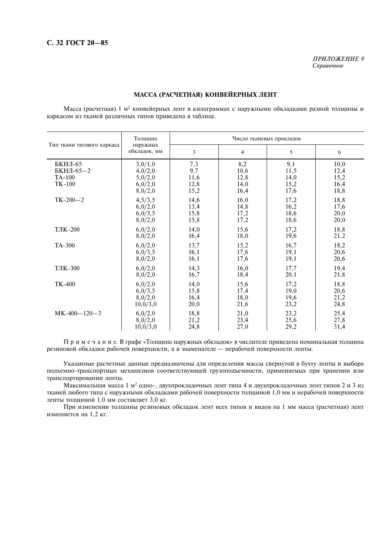ПРИЛОЖЕНИЕ 9 Справочное

# МАССА (РАСЧЕТНАЯ) КОНВЕЙЕРНЫХ ЛЕНТ

Масса (расчетная) 1 м<sup>2</sup> конвейерных лент в килограммах с наружными обкладками разной толщины и каркасом из тканей различных типов приведена в таблице.

|                                                 | Толшина                                             | Число тканевых прокладок           |                                     |                                     |                                      |
|-------------------------------------------------|-----------------------------------------------------|------------------------------------|-------------------------------------|-------------------------------------|--------------------------------------|
| Тип ткани тягового каркаса                      | наружных<br>обкладок, мм                            | 3                                  | $\overline{4}$                      | 5                                   | 6                                    |
| БКНЛ-65<br>БКНЛ-65-2<br><b>TA-100</b><br>TK-100 | 3,0/1,0<br>4,0/2,0<br>5,0/2,0<br>6,0/2,0<br>8,0/2,0 | 7,3<br>9,7<br>11,6<br>12,8<br>15,2 | 8,2<br>10,6<br>12,8<br>14,0<br>16,4 | 9,1<br>11,5<br>14,0<br>15,2<br>17,6 | 10,0<br>12,4<br>15,2<br>16,4<br>18,8 |
| $TK-200-2$                                      | 4,5/3,5                                             | 14,6                               | 16,0                                | 17,2                                | 18,8                                 |
|                                                 | 6,0/2,0                                             | 13,4                               | 14,8                                | 16,2                                | 17,6                                 |
|                                                 | 6,0/3,5                                             | 15,8                               | 17,2                                | 18,6                                | 20,0                                 |
|                                                 | 8,0/2,0                                             | 15,8                               | 17,2                                | 18,6                                | 20,0                                 |
| ТЛК-200                                         | 6,0/2,0                                             | 14,0                               | 15,6                                | 17,2                                | 18,8                                 |
|                                                 | 8,0/2,0                                             | 16,4                               | 18,0                                | 19,6                                | 21,2                                 |
| TA-300                                          | 6,0/2,0                                             | 13,7                               | 15,2                                | 16,7                                | 18,2                                 |
|                                                 | 6,0/3,5                                             | 16,1                               | 17,6                                | 19,1                                | 20,6                                 |
|                                                 | 8,0/2,0                                             | 16,1                               | 17,6                                | 19,1                                | 20,6                                 |
| ТЛК-300                                         | 6,0/2,0                                             | 14,3                               | 16,0                                | 17,7                                | 19,4                                 |
|                                                 | 8,0/2,0                                             | 16,7                               | 18,4                                | 20,1                                | 21,8                                 |
| <b>TK-400</b>                                   | 6,0/2,0                                             | 14,0                               | 15,6                                | 17,2                                | 18,8                                 |
|                                                 | 6,0/3,5                                             | 15,8                               | 17,4                                | 19,0                                | 20,6                                 |
|                                                 | 8,0/2,0                                             | 16,4                               | 18,0                                | 19,6                                | 21,2                                 |
|                                                 | 10,0/3,0                                            | 20,0                               | 21,6                                | 23,2                                | 24,8                                 |
| $MK-400-120-3$                                  | 6,0/2,0                                             | 18,8                               | 21,0                                | 23,2                                | 25,4                                 |
|                                                 | 8,0/2,0                                             | 21,2                               | 23,4                                | 25,6                                | 27,8                                 |
|                                                 | 10,0/3,0                                            | 24,8                               | 27,0                                | 29,2                                | 31,4                                 |

П р и м е ч а н и е. В графе «Толщина наружных обкладок» в числителе приведена номинальная толщина резиновой обкладки рабочей поверхности, а в знаменателе - нерабочей поверхности ленты.

Указанные расчетные данные предназначены для определения массы свернутой в бухту ленты и выбора подъемно-транспортных механизмов соответствующей грузоподъемности, применяемых при хранении или транспортировании ленты.

Максимальная масса 1 м<sup>2</sup> одно-, двухпрокладочных лент типа 4 и двухпрокладочных лент типов 2 и 3 из тканей любого типа с наружными обкладками рабочей поверхности толщиной 1,0 мм и нерабочей поверхности ленты толщиной 1,0 мм составляет 3,0 кг.

При изменении толщины резиновых обкладок лент всех типов и видов на 1 мм масса (расчетная) лент изменяется на 1,2 кг.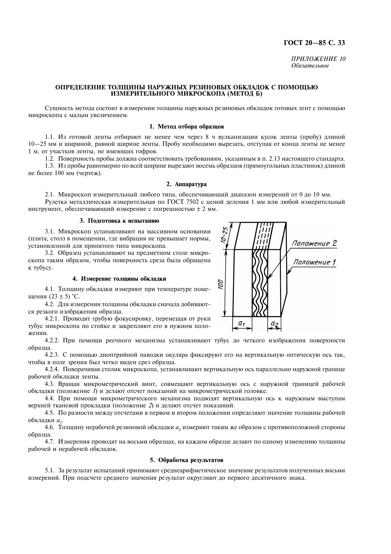# ГОСТ 20-85 С. 33

ПРИЛОЖЕНИЕ 10 Обязательное

# ОПРЕЛЕЛЕНИЕ ТОЛШИНЫ НАРУЖНЫХ РЕЗИНОВЫХ ОБКЛАЛОК С ПОМОШЬЮ ИЗМЕРИТЕЛЬНОГО МИКРОСКОПА (МЕТОД Б)

Сущность метода состоит в измерении толщины наружных резиновых обкладок готовых лент с помощью микроскопа с малым увеличением.

# 1. Метод отбора образцов

1.1. Из готовой ленты отбирают не менее чем через 8 ч вулканизации кусок ленты (пробу) длиной 10—25 мм и шириной, равной ширине ленты. Пробу необходимо вырезать, отступая от конца ленты не менее 1 м, от участков ленты, не имеющих гофров.

1.2. Поверхность пробы должна соответствовать требованиям, указанным в п. 2.13 настоящего стандарта. 1.3. Из пробы равномерно по всей ширине вырезают восемь образцов (прямоугольных пластинок) длиной не более 100 мм (чертеж).

## 2. Аппаратура

2.1. Микроскоп измерительный любого типа, обеспечивающий диапазон измерений от 0 до 10 мм. Рулетка металлическая измерительная по ГОСТ 7502 с ценой деления 1 мм или любой измерительный инструмент, обеспечивающий измерение с погрешностью  $\pm 2$  мм.

#### 3. Подготовка к испытанию

3.1. Микроскоп устанавливают на массивном основании (плита, стол) в помещении, где вибрация не превышает нормы, установленной для принятого типа микроскопа.

3.2. Образец устанавливают на предметном столе микроскопа таким образом, чтобы поверхность среза была обращена к тубусу.

# 4. Измерение толщины обкладки

4.1. Толщину обкладки измеряют при температуре помещения  $(23 \pm 5)$  °С.

4.2. Для измерения толщины обкладки сначала добиваются резкого изображения образца.

4.2.1. Проводят грубую фокусировку, перемещая от руки тубус микроскопа по стойке и закрепляют его в нужном положении.

4.2.2. При помощи реечного механизма устанавливают тубус до четкого изображения поверхности образца.

4.2.3. С помощью диоптрийной наводки окуляра фиксируют его на вертикальную оптическую ось так, чтобы в поле зрения был четко виден срез образца.

4.2.4. Поворачивая столик микроскопа, устанавливают вертикальную ось параллельно наружной границе рабочей обкладки ленты.

4.3. Вращая микрометрический винт, совмещают вертикальную ось с наружной границей рабочей обкладки (положение 1) и делают отсчет показаний на микрометрической головке.

4.4. При помощи микрометрического механизма подводят вертикальную ось к наружным выступам верхней тканевой прокладки (положение 2) и делают отсчет показаний.

4.5. По разности между отсчетами в первом и втором положении определяют значение толщины рабочей обкладки а1.

4.6. Толщину нерабочей резиновой обкладки а, измеряют таким же образом с противоположной стороны образца.

4.7. Измерения проводят на восьми образцах, на каждом образце делают по одному изменению толщины рабочей и нерабочей обкладок.

# 5. Обработка результатов

5.1. За результат испытаний принимают среднеарифметическое значение результатов полученных восьми измерений. При подсчете среднего значения результат округляют до первого десятичного знака.